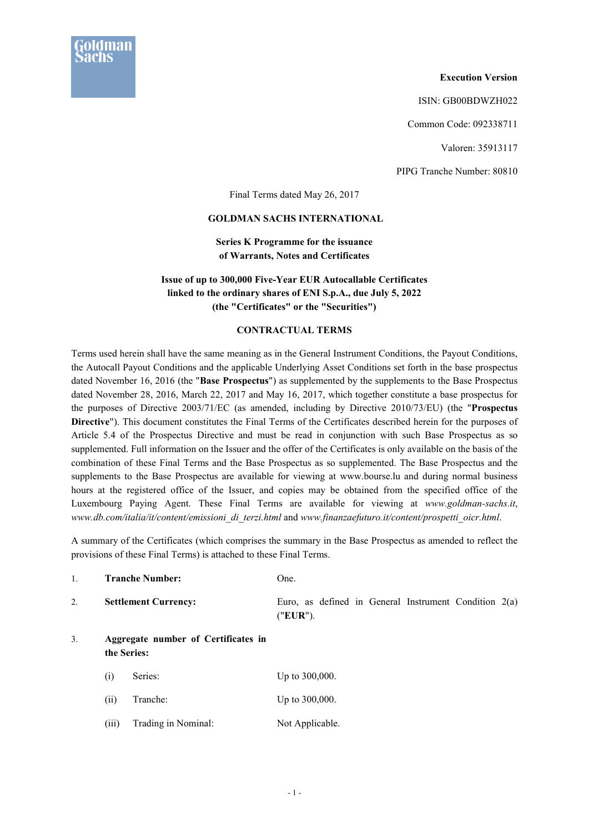

#### **Execution Version**

ISIN: GB00BDWZH022

Common Code: 092338711

Valoren: 35913117

PIPG Tranche Number: 80810

Final Terms dated May 26, 2017

#### **GOLDMAN SACHS INTERNATIONAL**

## **Series K Programme for the issuance of Warrants, Notes and Certificates**

## **Issue of up to 300,000 Five-Year EUR Autocallable Certificates linked to the ordinary shares of ENI S.p.A., due July 5, 2022 (the "Certificates" or the "Securities")**

### **CONTRACTUAL TERMS**

Terms used herein shall have the same meaning as in the General Instrument Conditions, the Payout Conditions, the Autocall Payout Conditions and the applicable Underlying Asset Conditions set forth in the base prospectus dated November 16, 2016 (the "**Base Prospectus**") as supplemented by the supplements to the Base Prospectus dated November 28, 2016, March 22, 2017 and May 16, 2017, which together constitute a base prospectus for the purposes of Directive 2003/71/EC (as amended, including by Directive 2010/73/EU) (the "**Prospectus Directive**"). This document constitutes the Final Terms of the Certificates described herein for the purposes of Article 5.4 of the Prospectus Directive and must be read in conjunction with such Base Prospectus as so supplemented. Full information on the Issuer and the offer of the Certificates is only available on the basis of the combination of these Final Terms and the Base Prospectus as so supplemented. The Base Prospectus and the supplements to the Base Prospectus are available for viewing at www.bourse.lu and during normal business hours at the registered office of the Issuer, and copies may be obtained from the specified office of the Luxembourg Paying Agent. These Final Terms are available for viewing at *www.goldman-sachs.it*, *www.db.com/italia/it/content/emissioni\_di\_terzi.html* and *www.finanzaefuturo.it/content/prospetti\_oicr.html*.

A summary of the Certificates (which comprises the summary in the Base Prospectus as amended to reflect the provisions of these Final Terms) is attached to these Final Terms.

| 1.             |                                                    | <b>Tranche Number:</b>      | One.                                                                |
|----------------|----------------------------------------------------|-----------------------------|---------------------------------------------------------------------|
| 2.             |                                                    | <b>Settlement Currency:</b> | Euro, as defined in General Instrument Condition $2(a)$<br>("EUR"). |
| 3 <sub>1</sub> | Aggregate number of Certificates in<br>the Series: |                             |                                                                     |
|                | (i)                                                | Series:                     | Up to 300,000.                                                      |
|                | (ii)                                               | Tranche:                    | Up to 300,000.                                                      |
|                | (iii)                                              | Trading in Nominal:         | Not Applicable.                                                     |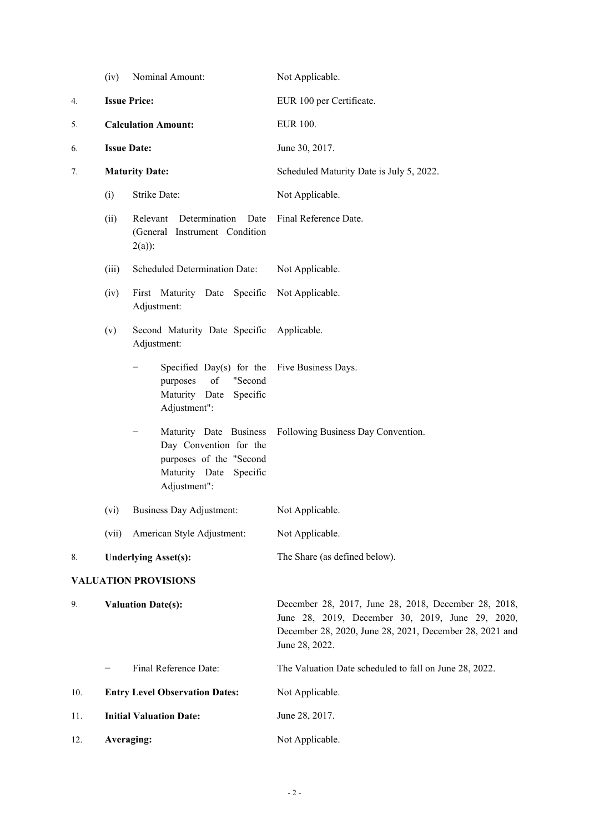|                           | (iv)                       | Nominal Amount:                                                                                                            | Not Applicable.                                                                                                                                                                       |  |
|---------------------------|----------------------------|----------------------------------------------------------------------------------------------------------------------------|---------------------------------------------------------------------------------------------------------------------------------------------------------------------------------------|--|
| <b>Issue Price:</b><br>4. |                            |                                                                                                                            | EUR 100 per Certificate.                                                                                                                                                              |  |
| 5.                        | <b>Calculation Amount:</b> |                                                                                                                            | <b>EUR 100.</b>                                                                                                                                                                       |  |
| 6.                        |                            | <b>Issue Date:</b>                                                                                                         | June 30, 2017.                                                                                                                                                                        |  |
| 7.                        |                            | <b>Maturity Date:</b>                                                                                                      | Scheduled Maturity Date is July 5, 2022.                                                                                                                                              |  |
|                           | (i)                        | Strike Date:                                                                                                               | Not Applicable.                                                                                                                                                                       |  |
|                           | (ii)                       | Determination<br>Date<br>Relevant<br>(General Instrument Condition<br>$2(a)$ :                                             | Final Reference Date.                                                                                                                                                                 |  |
|                           | (iii)                      | Scheduled Determination Date:                                                                                              | Not Applicable.                                                                                                                                                                       |  |
|                           | (iv)                       | First Maturity Date Specific<br>Adjustment:                                                                                | Not Applicable.                                                                                                                                                                       |  |
|                           | (v)                        | Second Maturity Date Specific Applicable.<br>Adjustment:                                                                   |                                                                                                                                                                                       |  |
|                           |                            | Specified Day(s) for the Five Business Days.<br>of<br>"Second<br>purposes<br>Maturity Date<br>Specific<br>Adjustment":     |                                                                                                                                                                                       |  |
|                           |                            | Maturity Date Business<br>—<br>Day Convention for the<br>purposes of the "Second<br>Maturity Date Specific<br>Adjustment": | Following Business Day Convention.                                                                                                                                                    |  |
|                           | (vi)                       | <b>Business Day Adjustment:</b>                                                                                            | Not Applicable.                                                                                                                                                                       |  |
|                           | (vii)                      | American Style Adjustment:                                                                                                 | Not Applicable.                                                                                                                                                                       |  |
| 8.                        |                            | <b>Underlying Asset(s):</b>                                                                                                | The Share (as defined below).                                                                                                                                                         |  |
|                           |                            | <b>VALUATION PROVISIONS</b>                                                                                                |                                                                                                                                                                                       |  |
| 9.                        |                            | <b>Valuation Date(s):</b>                                                                                                  | December 28, 2017, June 28, 2018, December 28, 2018,<br>June 28, 2019, December 30, 2019, June 29, 2020,<br>December 28, 2020, June 28, 2021, December 28, 2021 and<br>June 28, 2022. |  |
|                           |                            | Final Reference Date:                                                                                                      | The Valuation Date scheduled to fall on June 28, 2022.                                                                                                                                |  |
| 10.                       |                            | <b>Entry Level Observation Dates:</b>                                                                                      | Not Applicable.                                                                                                                                                                       |  |
| 11.                       |                            | <b>Initial Valuation Date:</b>                                                                                             | June 28, 2017.                                                                                                                                                                        |  |
| 12.                       |                            | Averaging:                                                                                                                 | Not Applicable.                                                                                                                                                                       |  |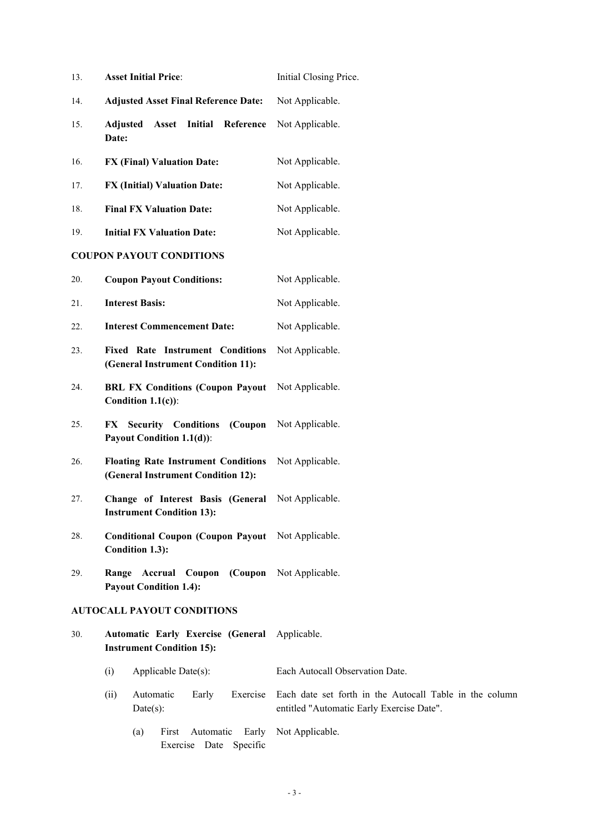| 13. | <b>Asset Initial Price:</b>                                                       | Initial Closing Price.                                                                               |
|-----|-----------------------------------------------------------------------------------|------------------------------------------------------------------------------------------------------|
| 14. | <b>Adjusted Asset Final Reference Date:</b>                                       | Not Applicable.                                                                                      |
| 15. | Asset<br>Initial<br>Reference<br>Adjusted<br>Date:                                | Not Applicable.                                                                                      |
| 16. | <b>FX (Final) Valuation Date:</b>                                                 | Not Applicable.                                                                                      |
| 17. | <b>FX (Initial) Valuation Date:</b>                                               | Not Applicable.                                                                                      |
| 18. | <b>Final FX Valuation Date:</b>                                                   | Not Applicable.                                                                                      |
| 19. | <b>Initial FX Valuation Date:</b>                                                 | Not Applicable.                                                                                      |
|     | <b>COUPON PAYOUT CONDITIONS</b>                                                   |                                                                                                      |
| 20. | <b>Coupon Payout Conditions:</b>                                                  | Not Applicable.                                                                                      |
| 21. | <b>Interest Basis:</b>                                                            | Not Applicable.                                                                                      |
| 22. | <b>Interest Commencement Date:</b>                                                | Not Applicable.                                                                                      |
| 23. | <b>Fixed Rate Instrument Conditions</b><br>(General Instrument Condition 11):     | Not Applicable.                                                                                      |
| 24. | <b>BRL FX Conditions (Coupon Payout</b><br>Condition $1.1(c)$ :                   | Not Applicable.                                                                                      |
| 25. | <b>Security Conditions</b><br>(Coupon<br>FX<br>Payout Condition 1.1(d)):          | Not Applicable.                                                                                      |
| 26. | <b>Floating Rate Instrument Conditions</b><br>(General Instrument Condition 12):  | Not Applicable.                                                                                      |
| 27. | Change of Interest Basis (General<br><b>Instrument Condition 13):</b>             | Not Applicable.                                                                                      |
| 28. | Conditional Coupon (Coupon Payout Not Applicable.<br>Condition 1.3):              |                                                                                                      |
| 29. | Range Accrual Coupon<br><b>Payout Condition 1.4):</b>                             | (Coupon Not Applicable.                                                                              |
|     | <b>AUTOCALL PAYOUT CONDITIONS</b>                                                 |                                                                                                      |
| 30. | Automatic Early Exercise (General Applicable.<br><b>Instrument Condition 15):</b> |                                                                                                      |
|     | (i)<br>Applicable Date(s):                                                        | Each Autocall Observation Date.                                                                      |
|     | Automatic<br>Early<br>Exercise<br>(ii)<br>$Date(s)$ :                             | Each date set forth in the Autocall Table in the column<br>entitled "Automatic Early Exercise Date". |

(a) First Automatic Early Not Applicable.Exercise Date Specific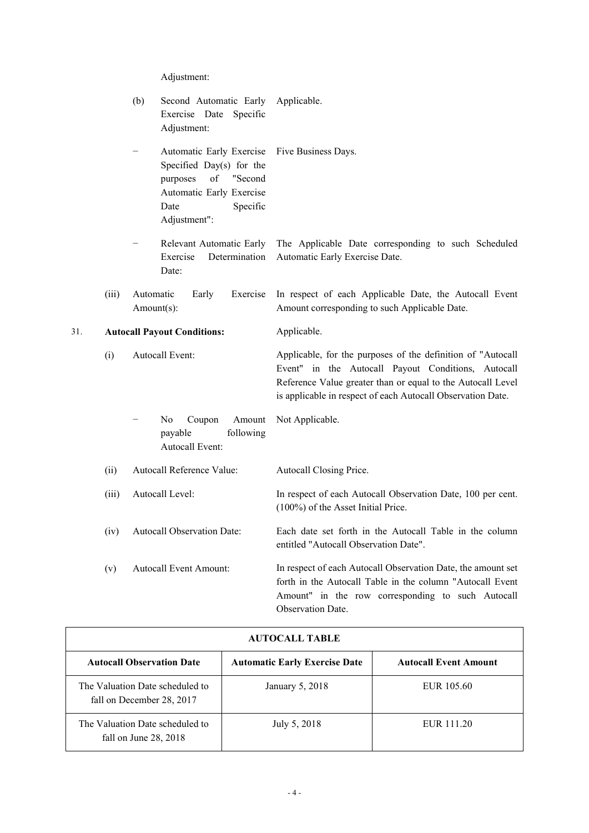Adjustment:

|     |       | (b)<br>Second Automatic Early<br>Exercise Date<br>Specific<br>Adjustment:                                                                              | Applicable.                                                                                                                                                                                                                                     |
|-----|-------|--------------------------------------------------------------------------------------------------------------------------------------------------------|-------------------------------------------------------------------------------------------------------------------------------------------------------------------------------------------------------------------------------------------------|
|     |       | Automatic Early Exercise<br>-<br>Specified Day(s) for the<br>of<br>"Second<br>purposes<br>Automatic Early Exercise<br>Date<br>Specific<br>Adjustment": | Five Business Days.                                                                                                                                                                                                                             |
|     |       | Relevant Automatic Early<br>Exercise<br>Determination<br>Date:                                                                                         | The Applicable Date corresponding to such Scheduled<br>Automatic Early Exercise Date.                                                                                                                                                           |
|     | (iii) | Automatic<br>Early<br>Exercise<br>Amount(s):                                                                                                           | In respect of each Applicable Date, the Autocall Event<br>Amount corresponding to such Applicable Date.                                                                                                                                         |
| 31. |       | <b>Autocall Payout Conditions:</b>                                                                                                                     | Applicable.                                                                                                                                                                                                                                     |
|     | (i)   | Autocall Event:                                                                                                                                        | Applicable, for the purposes of the definition of "Autocall<br>Event" in the Autocall Payout Conditions, Autocall<br>Reference Value greater than or equal to the Autocall Level<br>is applicable in respect of each Autocall Observation Date. |
|     |       | No<br>Coupon<br>Amount<br>following<br>payable<br>Autocall Event:                                                                                      | Not Applicable.                                                                                                                                                                                                                                 |
|     | (ii)  | Autocall Reference Value:                                                                                                                              | Autocall Closing Price.                                                                                                                                                                                                                         |
|     | (iii) | Autocall Level:                                                                                                                                        | In respect of each Autocall Observation Date, 100 per cent.<br>(100%) of the Asset Initial Price.                                                                                                                                               |
|     | (iv)  | Autocall Observation Date:                                                                                                                             | Each date set forth in the Autocall Table in the column<br>entitled "Autocall Observation Date".                                                                                                                                                |
|     | (v)   | <b>Autocall Event Amount:</b>                                                                                                                          | In respect of each Autocall Observation Date, the amount set<br>forth in the Autocall Table in the column "Autocall Event<br>Amount" in the row corresponding to such Autocall<br>Observation Date.                                             |

| <b>AUTOCALL TABLE</b>                                         |                                      |                              |  |
|---------------------------------------------------------------|--------------------------------------|------------------------------|--|
| <b>Autocall Observation Date</b>                              | <b>Automatic Early Exercise Date</b> | <b>Autocall Event Amount</b> |  |
| The Valuation Date scheduled to<br>fall on December 28, 2017  | January 5, 2018                      | EUR 105.60                   |  |
| The Valuation Date scheduled to<br>fall on June $28$ , $2018$ | July 5, 2018                         | EUR 111.20                   |  |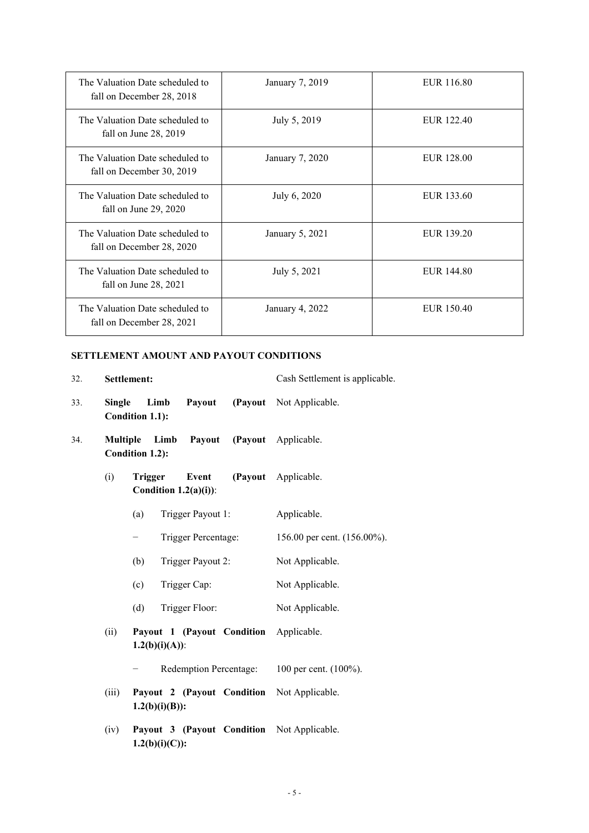| The Valuation Date scheduled to<br>fall on December 28, 2018 | January 7, 2019 | EUR 116.80 |
|--------------------------------------------------------------|-----------------|------------|
| The Valuation Date scheduled to<br>fall on June 28, 2019     | July 5, 2019    | EUR 122.40 |
| The Valuation Date scheduled to<br>fall on December 30, 2019 | January 7, 2020 | EUR 128.00 |
| The Valuation Date scheduled to<br>fall on June $29, 2020$   | July 6, 2020    | EUR 133.60 |
| The Valuation Date scheduled to<br>fall on December 28, 2020 | January 5, 2021 | EUR 139.20 |
| The Valuation Date scheduled to<br>fall on June $28, 2021$   | July 5, 2021    | EUR 144.80 |
| The Valuation Date scheduled to<br>fall on December 28, 2021 | January 4, 2022 | EUR 150.40 |

# **SETTLEMENT AMOUNT AND PAYOUT CONDITIONS**

|               | Settlement:                                                     | Cash Settlement is applicable. |
|---------------|-----------------------------------------------------------------|--------------------------------|
| <b>Single</b> | Limb<br>Payout<br>Condition 1.1):                               | (Payout Not Applicable.        |
|               | Multiple Limb Payout (Payout Applicable.<br>Condition 1.2):     |                                |
| (i)           | Event<br><b>Trigger</b><br>Condition $1.2(a)(i)$ :              | (Payout Applicable.            |
|               | (a)<br>Trigger Payout 1:                                        | Applicable.                    |
|               | Trigger Percentage:                                             | 156.00 per cent. (156.00%).    |
|               | (b)<br>Trigger Payout 2:                                        | Not Applicable.                |
|               | (c)<br>Trigger Cap:                                             | Not Applicable.                |
|               | (d)<br>Trigger Floor:                                           | Not Applicable.                |
| (ii)          | Payout 1 (Payout Condition Applicable.<br>$1.2(b)(i)(A))$ :     |                                |
|               | Redemption Percentage: 100 per cent. (100%).                    |                                |
| (iii)         | Payout 2 (Payout Condition Not Applicable.<br>$1.2(b)(i)(B))$ : |                                |
| (iv)          | Payout 3 (Payout Condition Not Applicable.<br>$1.2(b)(i)(C))$ : |                                |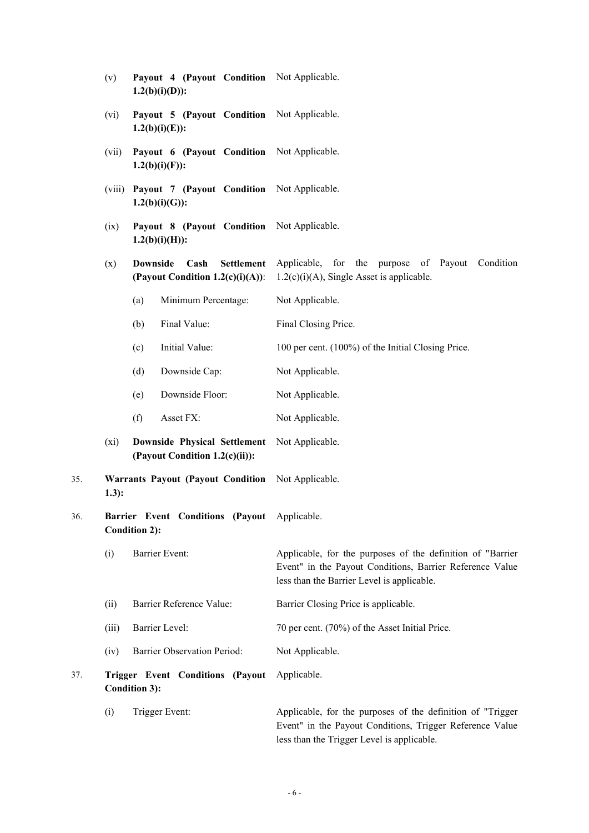|     | (v)                                                                     | Payout 4 (Payout Condition Not Applicable.<br>$1.2(b)(i)(D))$ :                     |                                                                                                                                                                      |
|-----|-------------------------------------------------------------------------|-------------------------------------------------------------------------------------|----------------------------------------------------------------------------------------------------------------------------------------------------------------------|
|     | (vi)                                                                    | Payout 5 (Payout Condition Not Applicable.<br>$1.2(b)(i)(E)$ :                      |                                                                                                                                                                      |
|     | (vii)                                                                   | Payout 6 (Payout Condition Not Applicable.<br>$1.2(b)(i)(F)$ :                      |                                                                                                                                                                      |
|     | (viii)                                                                  | Payout 7 (Payout Condition Not Applicable.<br>$1.2(b)(i)(G))$ :                     |                                                                                                                                                                      |
|     | Payout 8 (Payout Condition Not Applicable.<br>(ix)<br>$1.2(b)(i)(H))$ : |                                                                                     |                                                                                                                                                                      |
|     | (x)                                                                     | <b>Downside</b><br>Cash<br><b>Settlement</b><br>(Payout Condition $1.2(c)(i)(A))$ : | Applicable, for the purpose of Payout Condition<br>$1.2(c)(i)(A)$ , Single Asset is applicable.                                                                      |
|     |                                                                         | (a)<br>Minimum Percentage:                                                          | Not Applicable.                                                                                                                                                      |
|     |                                                                         | Final Value:<br>(b)                                                                 | Final Closing Price.                                                                                                                                                 |
|     |                                                                         | (c)<br>Initial Value:                                                               | 100 per cent. (100%) of the Initial Closing Price.                                                                                                                   |
|     |                                                                         | (d)<br>Downside Cap:                                                                | Not Applicable.                                                                                                                                                      |
|     |                                                                         | Downside Floor:<br>(e)                                                              | Not Applicable.                                                                                                                                                      |
|     |                                                                         | (f)<br>Asset FX:                                                                    | Not Applicable.                                                                                                                                                      |
|     | (xi)                                                                    | Downside Physical Settlement<br>(Payout Condition 1.2(c)(ii)):                      | Not Applicable.                                                                                                                                                      |
| 35. | $1.3)$ :                                                                | <b>Warrants Payout (Payout Condition</b>                                            | Not Applicable.                                                                                                                                                      |
| 36. |                                                                         | Barrier Event Conditions (Payout Applicable.<br><b>Condition 2):</b>                |                                                                                                                                                                      |
|     | (i)                                                                     | Barrier Event:                                                                      | Applicable, for the purposes of the definition of "Barrier<br>Event" in the Payout Conditions, Barrier Reference Value<br>less than the Barrier Level is applicable. |
|     | (ii)                                                                    | Barrier Reference Value:                                                            | Barrier Closing Price is applicable.                                                                                                                                 |
|     | (iii)                                                                   | Barrier Level:                                                                      | 70 per cent. (70%) of the Asset Initial Price.                                                                                                                       |
|     | (iv)                                                                    | <b>Barrier Observation Period:</b>                                                  | Not Applicable.                                                                                                                                                      |
| 37. |                                                                         | Trigger Event Conditions (Payout<br><b>Condition 3):</b>                            | Applicable.                                                                                                                                                          |
|     | (i)                                                                     | Trigger Event:                                                                      | Applicable, for the purposes of the definition of "Trigger<br>Event" in the Payout Conditions, Trigger Reference Value<br>less than the Trigger Level is applicable. |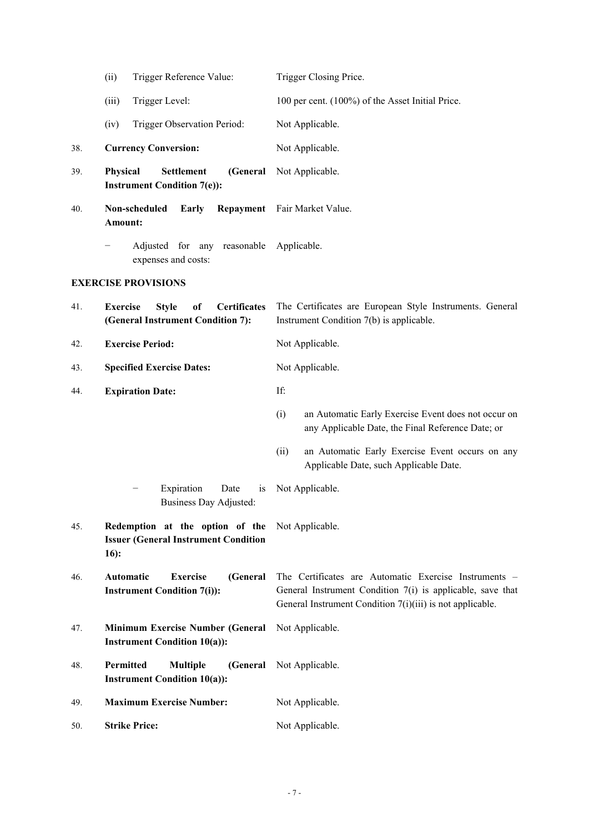|     | Trigger Reference Value:<br>(ii)                                                                          | Trigger Closing Price.                                                                                                                                                           |
|-----|-----------------------------------------------------------------------------------------------------------|----------------------------------------------------------------------------------------------------------------------------------------------------------------------------------|
|     | Trigger Level:<br>(iii)                                                                                   | 100 per cent. (100%) of the Asset Initial Price.                                                                                                                                 |
|     | Trigger Observation Period:<br>(iv)                                                                       | Not Applicable.                                                                                                                                                                  |
| 38. | <b>Currency Conversion:</b>                                                                               | Not Applicable.                                                                                                                                                                  |
| 39. | (General<br><b>Physical</b><br><b>Settlement</b><br><b>Instrument Condition 7(e)):</b>                    | Not Applicable.                                                                                                                                                                  |
| 40. | Non-scheduled<br>Early<br>Amount:                                                                         | Repayment Fair Market Value.                                                                                                                                                     |
|     | Adjusted for any reasonable<br>expenses and costs:                                                        | Applicable.                                                                                                                                                                      |
|     | <b>EXERCISE PROVISIONS</b>                                                                                |                                                                                                                                                                                  |
| 41. | of<br><b>Certificates</b><br><b>Exercise</b><br><b>Style</b><br>(General Instrument Condition 7):         | The Certificates are European Style Instruments. General<br>Instrument Condition 7(b) is applicable.                                                                             |
| 42. | <b>Exercise Period:</b>                                                                                   | Not Applicable.                                                                                                                                                                  |
| 43. | <b>Specified Exercise Dates:</b>                                                                          | Not Applicable.                                                                                                                                                                  |
| 44. | <b>Expiration Date:</b>                                                                                   | If:                                                                                                                                                                              |
|     |                                                                                                           | (i)<br>an Automatic Early Exercise Event does not occur on<br>any Applicable Date, the Final Reference Date; or                                                                  |
|     |                                                                                                           | (ii)<br>an Automatic Early Exercise Event occurs on any<br>Applicable Date, such Applicable Date.                                                                                |
|     | Expiration<br>Date<br>is<br><b>Business Day Adjusted:</b>                                                 | Not Applicable.                                                                                                                                                                  |
| 45. | Redemption at the option of the Not Applicable.<br><b>Issuer (General Instrument Condition</b><br>$16)$ : |                                                                                                                                                                                  |
| 46. | Automatic<br><b>Exercise</b><br>(General<br><b>Instrument Condition 7(i)):</b>                            | The Certificates are Automatic Exercise Instruments -<br>General Instrument Condition 7(i) is applicable, save that<br>General Instrument Condition 7(i)(iii) is not applicable. |
| 47. | Minimum Exercise Number (General<br><b>Instrument Condition 10(a)):</b>                                   | Not Applicable.                                                                                                                                                                  |
| 48. | Permitted<br><b>Multiple</b><br>(General<br><b>Instrument Condition 10(a)):</b>                           | Not Applicable.                                                                                                                                                                  |
| 49. | <b>Maximum Exercise Number:</b>                                                                           | Not Applicable.                                                                                                                                                                  |
| 50. | <b>Strike Price:</b>                                                                                      | Not Applicable.                                                                                                                                                                  |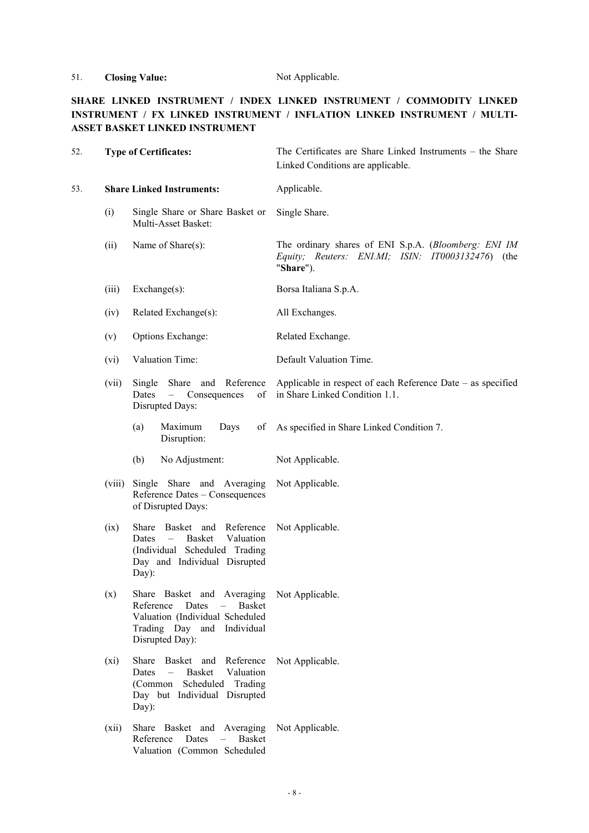## 51. **Closing Value:** Not Applicable.

## **SHARE LINKED INSTRUMENT / INDEX LINKED INSTRUMENT / COMMODITY LINKED INSTRUMENT / FX LINKED INSTRUMENT / INFLATION LINKED INSTRUMENT / MULTI-ASSET BASKET LINKED INSTRUMENT**

| 52. | <b>Type of Certificates:</b> |                                                                                                                                                                              | The Certificates are Share Linked Instruments – the Share<br>Linked Conditions are applicable.                         |  |
|-----|------------------------------|------------------------------------------------------------------------------------------------------------------------------------------------------------------------------|------------------------------------------------------------------------------------------------------------------------|--|
| 53. |                              | <b>Share Linked Instruments:</b>                                                                                                                                             | Applicable.                                                                                                            |  |
|     | (i)                          | Single Share or Share Basket or<br>Multi-Asset Basket:                                                                                                                       | Single Share.                                                                                                          |  |
|     | (ii)                         | Name of Share(s):                                                                                                                                                            | The ordinary shares of ENI S.p.A. (Bloomberg: ENI IM<br>Equity; Reuters: ENI.MI; ISIN: IT0003132476) (the<br>"Share"). |  |
|     | (iii)                        | $Exchange(s)$ :                                                                                                                                                              | Borsa Italiana S.p.A.                                                                                                  |  |
|     | (iv)                         | Related Exchange(s):                                                                                                                                                         | All Exchanges.                                                                                                         |  |
|     | (v)                          | Options Exchange:                                                                                                                                                            | Related Exchange.                                                                                                      |  |
|     | (vi)                         | Valuation Time:                                                                                                                                                              | Default Valuation Time.                                                                                                |  |
|     | (vii)                        | Share and Reference<br>Single<br>Dates<br>$\frac{1}{2}$<br>Consequences<br>of<br>Disrupted Days:                                                                             | Applicable in respect of each Reference Date – as specified<br>in Share Linked Condition 1.1.                          |  |
|     |                              | (a)<br>Maximum<br>Days<br>of<br>Disruption:                                                                                                                                  | As specified in Share Linked Condition 7.                                                                              |  |
|     |                              | No Adjustment:<br>(b)                                                                                                                                                        | Not Applicable.                                                                                                        |  |
|     | (viii)                       | Single Share and Averaging<br>Reference Dates - Consequences<br>of Disrupted Days:                                                                                           | Not Applicable.                                                                                                        |  |
|     | (ix)                         | Basket and Reference<br>Share<br>Basket<br>Valuation<br>Dates<br>$ \,$<br>(Individual Scheduled Trading<br>Day and Individual Disrupted<br>Day):                             | Not Applicable.                                                                                                        |  |
|     | (x)                          | Share Basket and Averaging<br>Reference<br>Dates<br><b>Basket</b><br>Valuation (Individual Scheduled<br>Trading Day and Individual<br>Disrupted Day):                        | Not Applicable.                                                                                                        |  |
|     | (xi)                         | Basket and Reference<br>Share<br>Valuation<br>Dates<br><b>Basket</b><br>$\overline{\phantom{0}}$<br>Scheduled<br>Trading<br>(Common<br>Day but Individual Disrupted<br>Day): | Not Applicable.                                                                                                        |  |
|     | (xii)                        | Share Basket and Averaging<br>Reference<br>Dates<br>$\equiv$<br><b>Basket</b><br>Valuation (Common Scheduled                                                                 | Not Applicable.                                                                                                        |  |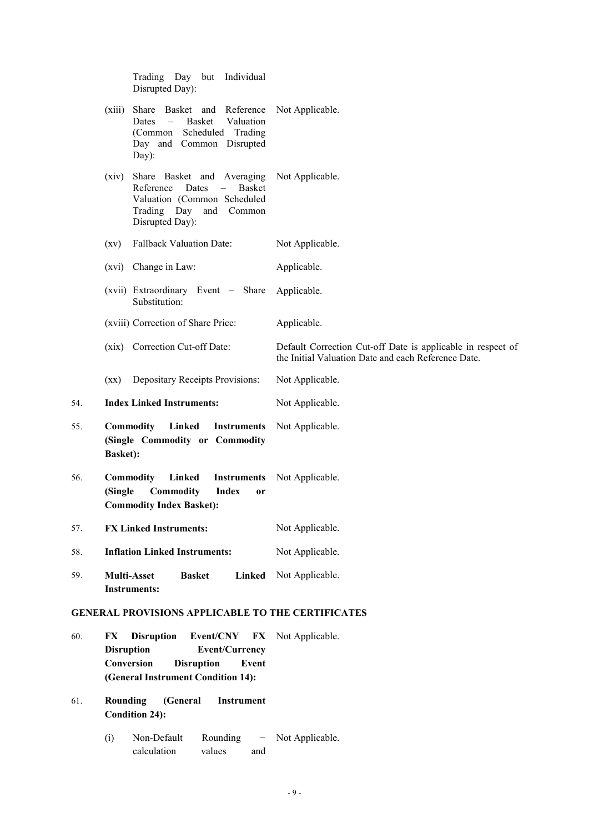Trading Day but Individual Disrupted Day): (xiii) Share Basket and Reference Dates – Basket Valuation (Common Scheduled Trading Day and Common Disrupted Day): Not Applicable. (xiv) Share Basket and Averaging Reference Dates – Basket Valuation (Common Scheduled Trading Day and Common Disrupted Day): Not Applicable. (xv) Fallback Valuation Date: Not Applicable. (xvi) Change in Law: Applicable. (xvii) Extraordinary Event – Share Substitution: Applicable. (xviii) Correction of Share Price: Applicable. (xix) Correction Cut-off Date: Default Correction Cut-off Date is applicable in respect of the Initial Valuation Date and each Reference Date. (xx) Depositary Receipts Provisions: Not Applicable. 54. **Index Linked Instruments:** Not Applicable. 55. **Commodity Linked Instruments (Single Commodity or Commodity Basket):** Not Applicable. 56. **Commodity Linked Instruments (Single Commodity Index or Commodity Index Basket):** Not Applicable. 57. **FX Linked Instruments:** Not Applicable. 58. **Inflation Linked Instruments:** Not Applicable. 59. **Multi-Asset Basket Linked Instruments:** Not Applicable. **GENERAL PROVISIONS APPLICABLE TO THE CERTIFICATES** 60. **FX Disruption Event/CNY FX**  Not Applicable. **Disruption Event/Currency Conversion Disruption Event (General Instrument Condition 14):** 61. **Rounding (General Instrument Condition 24):**

(i) Non-Default Rounding calculation values and Not Applicable.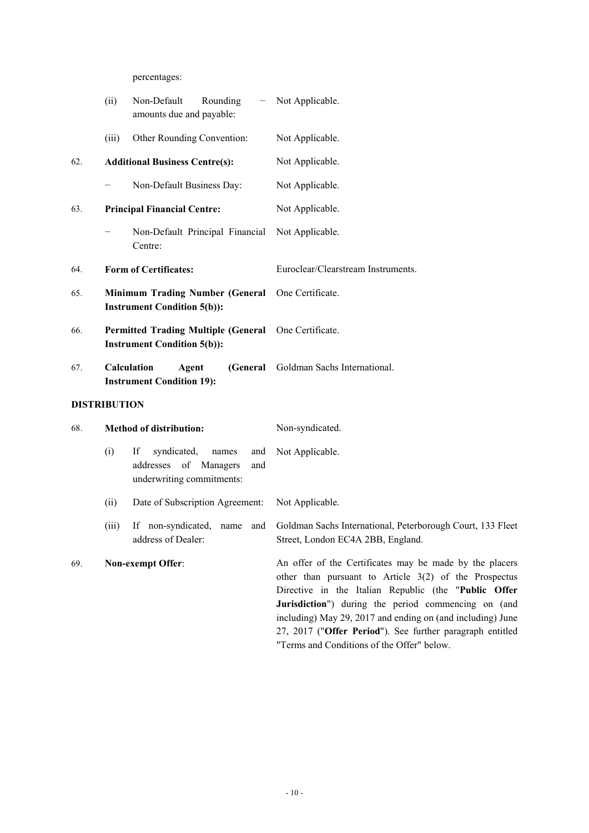percentages:

|     | (ii)                                                                         | Non-Default<br>Rounding<br>-<br>amounts due and payable:                                          | Not Applicable.                                                                                                                                                                                                                                                                                                                                                                                            |
|-----|------------------------------------------------------------------------------|---------------------------------------------------------------------------------------------------|------------------------------------------------------------------------------------------------------------------------------------------------------------------------------------------------------------------------------------------------------------------------------------------------------------------------------------------------------------------------------------------------------------|
|     | (iii)                                                                        | Other Rounding Convention:                                                                        | Not Applicable.                                                                                                                                                                                                                                                                                                                                                                                            |
| 62. |                                                                              | <b>Additional Business Centre(s):</b>                                                             | Not Applicable.                                                                                                                                                                                                                                                                                                                                                                                            |
|     |                                                                              | Non-Default Business Day:                                                                         | Not Applicable.                                                                                                                                                                                                                                                                                                                                                                                            |
| 63. |                                                                              | <b>Principal Financial Centre:</b>                                                                | Not Applicable.                                                                                                                                                                                                                                                                                                                                                                                            |
|     |                                                                              | Non-Default Principal Financial<br>Centre:                                                        | Not Applicable.                                                                                                                                                                                                                                                                                                                                                                                            |
| 64. |                                                                              | <b>Form of Certificates:</b>                                                                      | Euroclear/Clearstream Instruments.                                                                                                                                                                                                                                                                                                                                                                         |
| 65. | <b>Minimum Trading Number (General</b><br><b>Instrument Condition 5(b)):</b> |                                                                                                   | One Certificate.                                                                                                                                                                                                                                                                                                                                                                                           |
| 66. |                                                                              | <b>Permitted Trading Multiple (General</b><br><b>Instrument Condition 5(b)):</b>                  | One Certificate.                                                                                                                                                                                                                                                                                                                                                                                           |
| 67. | Calculation<br>Agent<br>(General<br><b>Instrument Condition 19):</b>         |                                                                                                   | Goldman Sachs International.                                                                                                                                                                                                                                                                                                                                                                               |
|     | <b>DISTRIBUTION</b>                                                          |                                                                                                   |                                                                                                                                                                                                                                                                                                                                                                                                            |
| 68. |                                                                              | <b>Method of distribution:</b>                                                                    | Non-syndicated.                                                                                                                                                                                                                                                                                                                                                                                            |
|     | (i)                                                                          | If<br>syndicated,<br>and<br>names<br>addresses<br>of Managers<br>and<br>underwriting commitments: | Not Applicable.                                                                                                                                                                                                                                                                                                                                                                                            |
|     | (ii)                                                                         | Date of Subscription Agreement:                                                                   | Not Applicable.                                                                                                                                                                                                                                                                                                                                                                                            |
|     | (iii)                                                                        | If non-syndicated,<br>and<br>name<br>address of Dealer:                                           | Goldman Sachs International, Peterborough Court, 133 Fleet<br>Street, London EC4A 2BB, England.                                                                                                                                                                                                                                                                                                            |
| 69. |                                                                              | Non-exempt Offer:                                                                                 | An offer of the Certificates may be made by the placers<br>other than pursuant to Article $3(2)$ of the Prospectus<br>Directive in the Italian Republic (the "Public Offer<br>Jurisdiction") during the period commencing on (and<br>including) May 29, 2017 and ending on (and including) June<br>27, 2017 ("Offer Period"). See further paragraph entitled<br>"Terms and Conditions of the Offer" below. |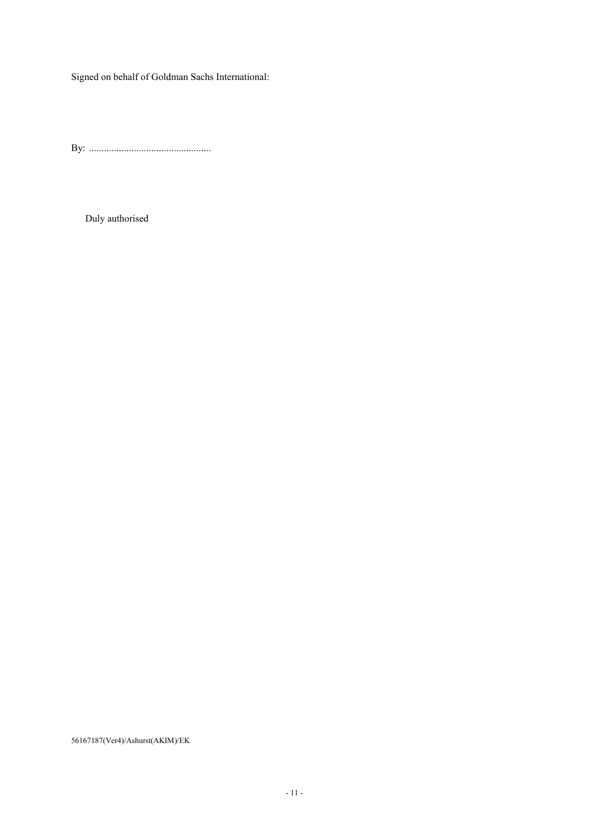Signed on behalf of Goldman Sachs International:

By: .................................................

Duly authorised

56167187(Ver4)/Ashurst(AKIM)/EK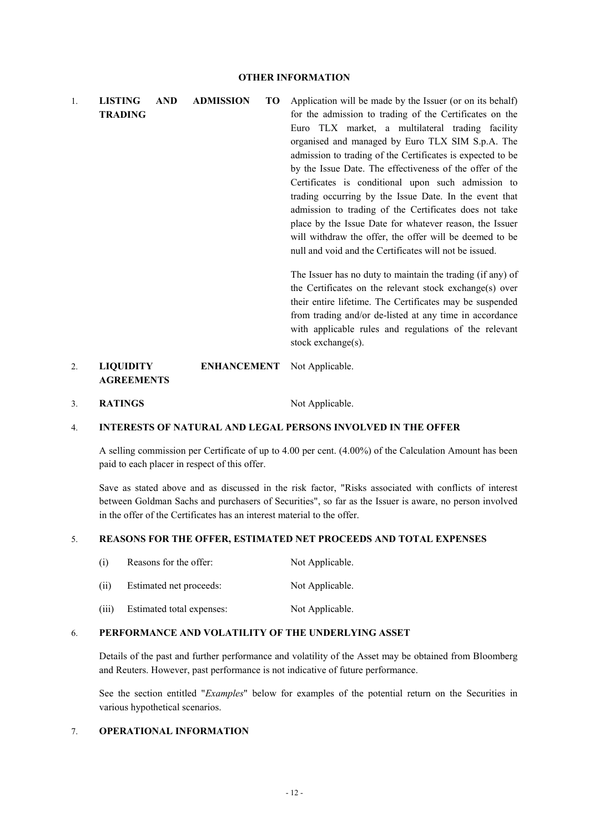1. **LISTING AND ADMISSION TO TRADING** Application will be made by the Issuer (or on its behalf) for the admission to trading of the Certificates on the Euro TLX market, a multilateral trading facility organised and managed by Euro TLX SIM S.p.A. The admission to trading of the Certificates is expected to be by the Issue Date. The effectiveness of the offer of the Certificates is conditional upon such admission to trading occurring by the Issue Date. In the event that admission to trading of the Certificates does not take place by the Issue Date for whatever reason, the Issuer will withdraw the offer, the offer will be deemed to be null and void and the Certificates will not be issued. The Issuer has no duty to maintain the trading (if any) of the Certificates on the relevant stock exchange(s) over their entire lifetime. The Certificates may be suspended

2. **LIQUIDITY ENHANCEMENT AGREEMENTS** Not Applicable.

3. **RATINGS** Not Applicable.

#### 4. **INTERESTS OF NATURAL AND LEGAL PERSONS INVOLVED IN THE OFFER**

A selling commission per Certificate of up to 4.00 per cent. (4.00%) of the Calculation Amount has been paid to each placer in respect of this offer.

stock exchange(s).

from trading and/or de-listed at any time in accordance with applicable rules and regulations of the relevant

Save as stated above and as discussed in the risk factor, "Risks associated with conflicts of interest between Goldman Sachs and purchasers of Securities", so far as the Issuer is aware, no person involved in the offer of the Certificates has an interest material to the offer.

#### 5. **REASONS FOR THE OFFER, ESTIMATED NET PROCEEDS AND TOTAL EXPENSES**

| (i)   | Reasons for the offer:    | Not Applicable. |
|-------|---------------------------|-----------------|
| (i)   | Estimated net proceeds:   | Not Applicable. |
| (iii) | Estimated total expenses: | Not Applicable. |

#### 6. **PERFORMANCE AND VOLATILITY OF THE UNDERLYING ASSET**

Details of the past and further performance and volatility of the Asset may be obtained from Bloomberg and Reuters. However, past performance is not indicative of future performance.

See the section entitled "*Examples*" below for examples of the potential return on the Securities in various hypothetical scenarios.

### 7. **OPERATIONAL INFORMATION**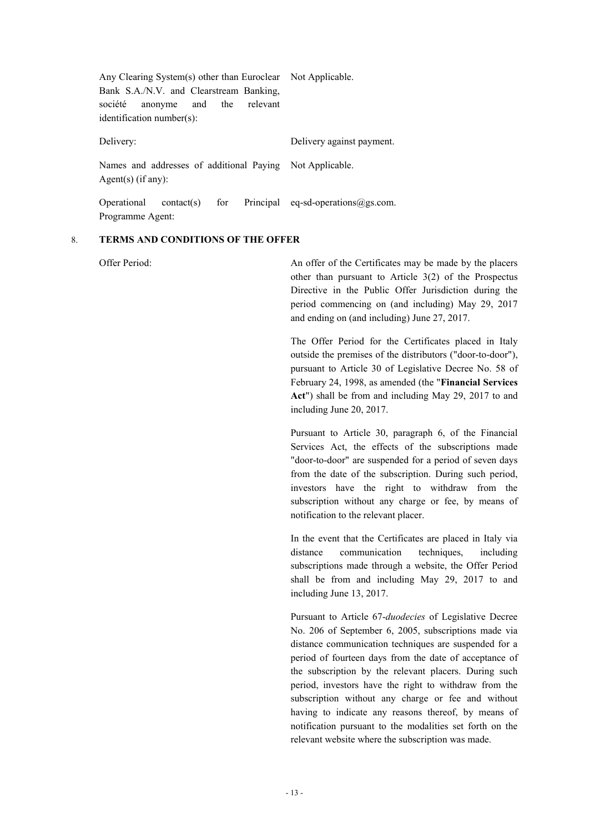| Any Clearing System(s) other than Euroclear Not Applicable.<br>Bank S.A./N.V. and Clearstream Banking,<br>anonyme and the<br>société<br>relevant<br>identification number(s): |                                        |
|-------------------------------------------------------------------------------------------------------------------------------------------------------------------------------|----------------------------------------|
| Delivery:                                                                                                                                                                     | Delivery against payment.              |
| Names and addresses of additional Paying Not Applicable.<br>Agent(s) $(if any):$                                                                                              |                                        |
| for<br>Operational<br>contact(s)<br>Programme Agent:                                                                                                                          | Principal eq-sd-operations $@$ gs.com. |

#### 8. **TERMS AND CONDITIONS OF THE OFFER**

Offer Period: An offer of the Certificates may be made by the placers other than pursuant to Article 3(2) of the Prospectus Directive in the Public Offer Jurisdiction during the period commencing on (and including) May 29, 2017 and ending on (and including) June 27, 2017.

> The Offer Period for the Certificates placed in Italy outside the premises of the distributors ("door-to-door"), pursuant to Article 30 of Legislative Decree No. 58 of February 24, 1998, as amended (the "**Financial Services Act**") shall be from and including May 29, 2017 to and including June 20, 2017.

> Pursuant to Article 30, paragraph 6, of the Financial Services Act, the effects of the subscriptions made "door-to-door" are suspended for a period of seven days from the date of the subscription. During such period, investors have the right to withdraw from the subscription without any charge or fee, by means of notification to the relevant placer.

> In the event that the Certificates are placed in Italy via distance communication techniques, including subscriptions made through a website, the Offer Period shall be from and including May 29, 2017 to and including June 13, 2017.

> Pursuant to Article 67-*duodecies* of Legislative Decree No. 206 of September 6, 2005, subscriptions made via distance communication techniques are suspended for a period of fourteen days from the date of acceptance of the subscription by the relevant placers. During such period, investors have the right to withdraw from the subscription without any charge or fee and without having to indicate any reasons thereof, by means of notification pursuant to the modalities set forth on the relevant website where the subscription was made.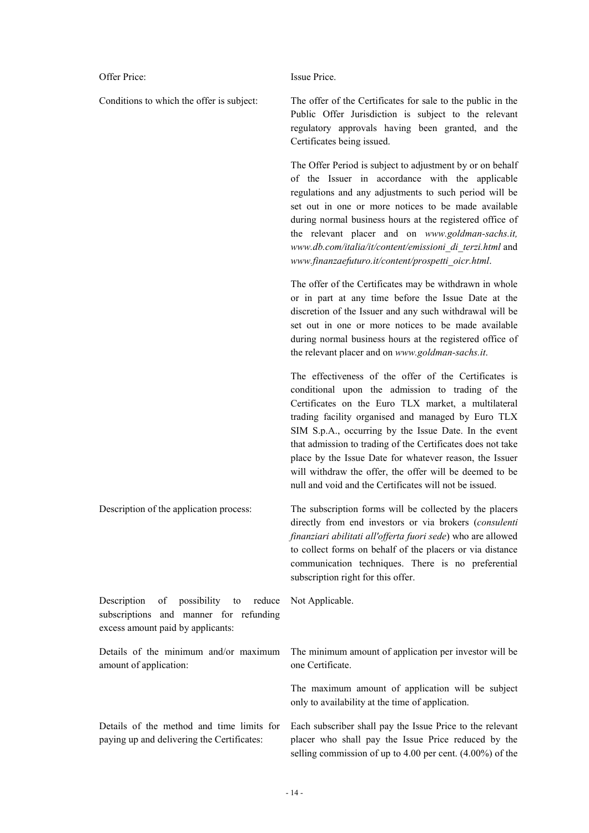Offer Price: Issue Price

Conditions to which the offer is subject: The offer of the Certificates for sale to the public in the Public Offer Jurisdiction is subject to the relevant regulatory approvals having been granted, and the Certificates being issued.

> The Offer Period is subject to adjustment by or on behalf of the Issuer in accordance with the applicable regulations and any adjustments to such period will be set out in one or more notices to be made available during normal business hours at the registered office of the relevant placer and on *www.goldman-sachs.it, www.db.com/italia/it/content/emissioni\_di\_terzi.html* and *www.finanzaefuturo.it/content/prospetti\_oicr.html*.

> The offer of the Certificates may be withdrawn in whole or in part at any time before the Issue Date at the discretion of the Issuer and any such withdrawal will be set out in one or more notices to be made available during normal business hours at the registered office of the relevant placer and on *www.goldman-sachs.it*.

> The effectiveness of the offer of the Certificates is conditional upon the admission to trading of the Certificates on the Euro TLX market, a multilateral trading facility organised and managed by Euro TLX SIM S.p.A., occurring by the Issue Date. In the event that admission to trading of the Certificates does not take place by the Issue Date for whatever reason, the Issuer will withdraw the offer, the offer will be deemed to be null and void and the Certificates will not be issued.

Description of the application process: The subscription forms will be collected by the placers directly from end investors or via brokers (*consulenti finanziari abilitati all'offerta fuori sede*) who are allowed to collect forms on behalf of the placers or via distance communication techniques. There is no preferential subscription right for this offer. Description of possibility to reduce subscriptions and manner for refunding excess amount paid by applicants: Not Applicable. Details of the minimum and/or maximum amount of application: The minimum amount of application per investor will be one Certificate.

> The maximum amount of application will be subject only to availability at the time of application.

Details of the method and time limits for paying up and delivering the Certificates: Each subscriber shall pay the Issue Price to the relevant placer who shall pay the Issue Price reduced by the selling commission of up to 4.00 per cent. (4.00%) of the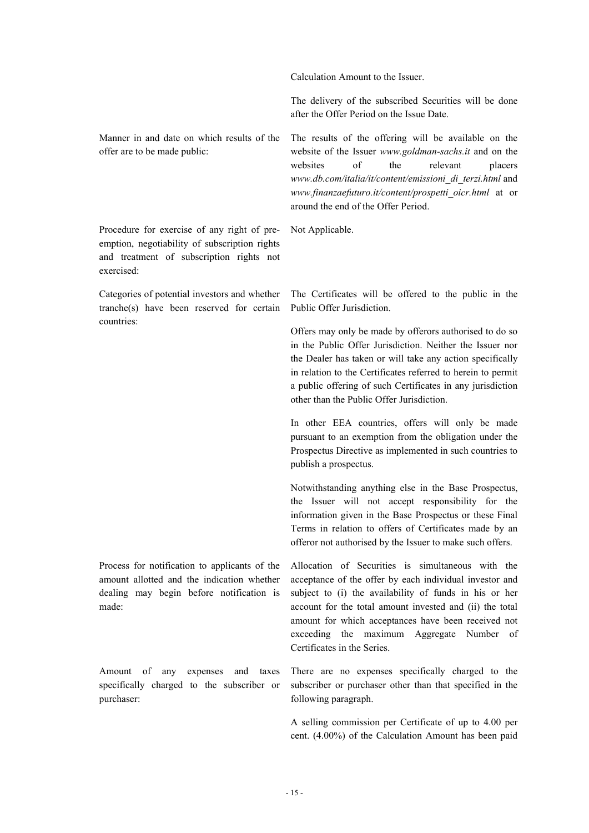Calculation Amount to the Issuer.

The delivery of the subscribed Securities will be done after the Offer Period on the Issue Date.

Manner in and date on which results of the offer are to be made public:

Procedure for exercise of any right of preemption, negotiability of subscription rights and treatment of subscription rights not exercised:

Categories of potential investors and whether tranche(s) have been reserved for certain countries:

Process for notification to applicants of the amount allotted and the indication whether dealing may begin before notification is made:

Amount of any expenses and taxes specifically charged to the subscriber or purchaser:

The results of the offering will be available on the website of the Issuer *www.goldman-sachs.it* and on the websites of the relevant placers *www.db.com/italia/it/content/emissioni\_di\_terzi.html* and *www.finanzaefuturo.it/content/prospetti\_oicr.html* at or around the end of the Offer Period.

Not Applicable.

The Certificates will be offered to the public in the Public Offer Jurisdiction.

Offers may only be made by offerors authorised to do so in the Public Offer Jurisdiction. Neither the Issuer nor the Dealer has taken or will take any action specifically in relation to the Certificates referred to herein to permit a public offering of such Certificates in any jurisdiction other than the Public Offer Jurisdiction.

In other EEA countries, offers will only be made pursuant to an exemption from the obligation under the Prospectus Directive as implemented in such countries to publish a prospectus.

Notwithstanding anything else in the Base Prospectus, the Issuer will not accept responsibility for the information given in the Base Prospectus or these Final Terms in relation to offers of Certificates made by an offeror not authorised by the Issuer to make such offers.

Allocation of Securities is simultaneous with the acceptance of the offer by each individual investor and subject to (i) the availability of funds in his or her account for the total amount invested and (ii) the total amount for which acceptances have been received not exceeding the maximum Aggregate Number of Certificates in the Series.

There are no expenses specifically charged to the subscriber or purchaser other than that specified in the following paragraph.

A selling commission per Certificate of up to 4.00 per cent. (4.00%) of the Calculation Amount has been paid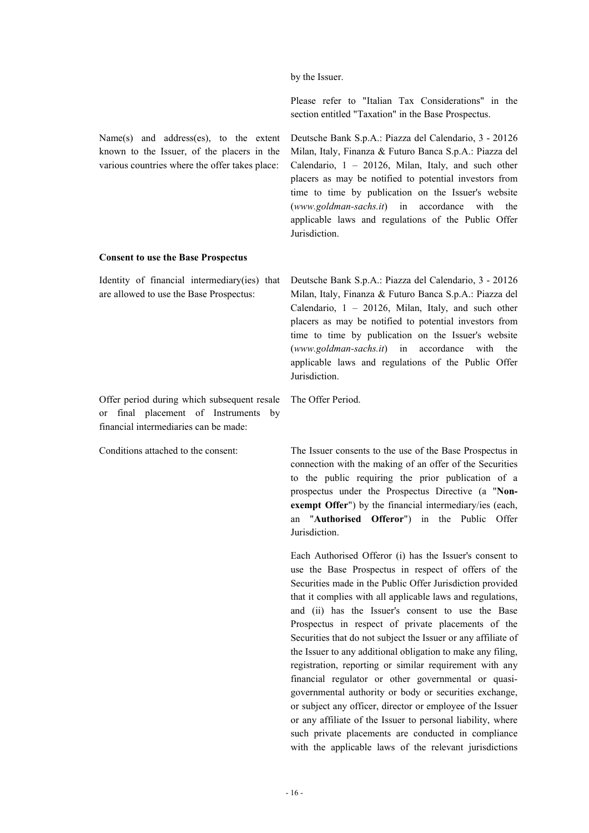by the Issuer.

**Jurisdiction** 

Please refer to "Italian Tax Considerations" in the section entitled "Taxation" in the Base Prospectus.

Deutsche Bank S.p.A.: Piazza del Calendario, 3 - 20126 Milan, Italy, Finanza & Futuro Banca S.p.A.: Piazza del Calendario, 1 – 20126, Milan, Italy, and such other placers as may be notified to potential investors from time to time by publication on the Issuer's website (*www.goldman-sachs.it*) in accordance with the applicable laws and regulations of the Public Offer

Name(s) and address(es), to the extent known to the Issuer, of the placers in the various countries where the offer takes place:

## **Consent to use the Base Prospectus**

Identity of financial intermediary(ies) that are allowed to use the Base Prospectus:

Offer period during which subsequent resale or final placement of Instruments by financial intermediaries can be made:

Deutsche Bank S.p.A.: Piazza del Calendario, 3 - 20126 Milan, Italy, Finanza & Futuro Banca S.p.A.: Piazza del Calendario,  $1 - 20126$ , Milan, Italy, and such other placers as may be notified to potential investors from time to time by publication on the Issuer's website (*www.goldman-sachs.it*) in accordance with the applicable laws and regulations of the Public Offer Jurisdiction.

The Offer Period.

Conditions attached to the consent: The Issuer consents to the use of the Base Prospectus in connection with the making of an offer of the Securities to the public requiring the prior publication of a prospectus under the Prospectus Directive (a "**Nonexempt Offer**") by the financial intermediary/ies (each, an "**Authorised Offeror**") in the Public Offer Jurisdiction.

> Each Authorised Offeror (i) has the Issuer's consent to use the Base Prospectus in respect of offers of the Securities made in the Public Offer Jurisdiction provided that it complies with all applicable laws and regulations, and (ii) has the Issuer's consent to use the Base Prospectus in respect of private placements of the Securities that do not subject the Issuer or any affiliate of the Issuer to any additional obligation to make any filing, registration, reporting or similar requirement with any financial regulator or other governmental or quasigovernmental authority or body or securities exchange, or subject any officer, director or employee of the Issuer or any affiliate of the Issuer to personal liability, where such private placements are conducted in compliance with the applicable laws of the relevant jurisdictions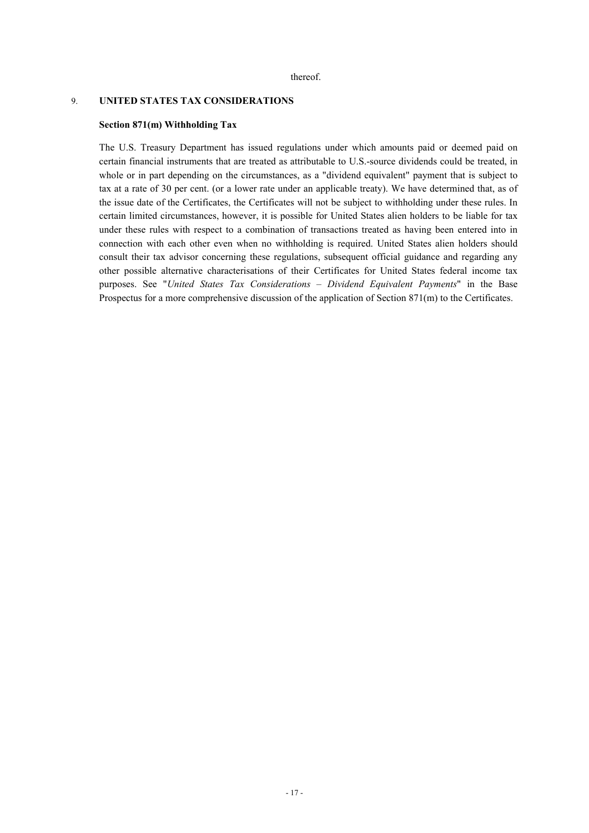#### 9. **UNITED STATES TAX CONSIDERATIONS**

#### **Section 871(m) Withholding Tax**

The U.S. Treasury Department has issued regulations under which amounts paid or deemed paid on certain financial instruments that are treated as attributable to U.S.-source dividends could be treated, in whole or in part depending on the circumstances, as a "dividend equivalent" payment that is subject to tax at a rate of 30 per cent. (or a lower rate under an applicable treaty). We have determined that, as of the issue date of the Certificates, the Certificates will not be subject to withholding under these rules. In certain limited circumstances, however, it is possible for United States alien holders to be liable for tax under these rules with respect to a combination of transactions treated as having been entered into in connection with each other even when no withholding is required. United States alien holders should consult their tax advisor concerning these regulations, subsequent official guidance and regarding any other possible alternative characterisations of their Certificates for United States federal income tax purposes. See "*United States Tax Considerations – Dividend Equivalent Payments*" in the Base Prospectus for a more comprehensive discussion of the application of Section 871(m) to the Certificates.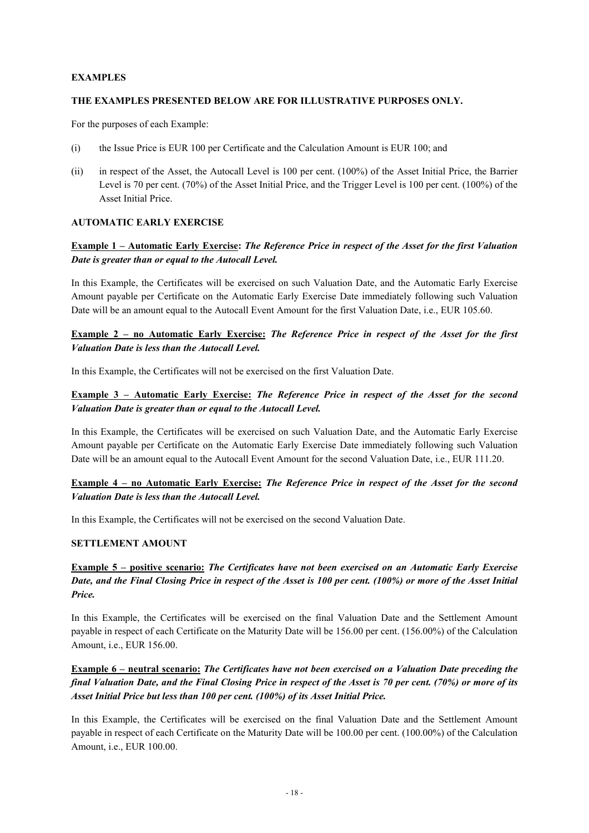## **EXAMPLES**

### **THE EXAMPLES PRESENTED BELOW ARE FOR ILLUSTRATIVE PURPOSES ONLY.**

For the purposes of each Example:

- (i) the Issue Price is EUR 100 per Certificate and the Calculation Amount is EUR 100; and
- (ii) in respect of the Asset, the Autocall Level is 100 per cent. (100%) of the Asset Initial Price, the Barrier Level is 70 per cent. (70%) of the Asset Initial Price, and the Trigger Level is 100 per cent. (100%) of the Asset Initial Price.

### **AUTOMATIC EARLY EXERCISE**

## Example 1 – Automatic Early Exercise: The Reference Price in respect of the Asset for the first Valuation *Date is greater than or equal to the Autocall Level.*

In this Example, the Certificates will be exercised on such Valuation Date, and the Automatic Early Exercise Amount payable per Certificate on the Automatic Early Exercise Date immediately following such Valuation Date will be an amount equal to the Autocall Event Amount for the first Valuation Date, i.e., EUR 105.60.

**Example 2 – no Automatic Early Exercise:** *The Reference Price in respect of the Asset for the first Valuation Date is less than the Autocall Level.*

In this Example, the Certificates will not be exercised on the first Valuation Date.

## **Example 3 – Automatic Early Exercise:** *The Reference Price in respect of the Asset for the second Valuation Date is greater than or equal to the Autocall Level.*

In this Example, the Certificates will be exercised on such Valuation Date, and the Automatic Early Exercise Amount payable per Certificate on the Automatic Early Exercise Date immediately following such Valuation Date will be an amount equal to the Autocall Event Amount for the second Valuation Date, i.e., EUR 111.20.

## Example 4 – no Automatic Early Exercise: The Reference Price in respect of the Asset for the second *Valuation Date is less than the Autocall Level.*

In this Example, the Certificates will not be exercised on the second Valuation Date.

### **SETTLEMENT AMOUNT**

## **Example 5 – positive scenario:** *The Certificates have not been exercised on an Automatic Early Exercise* Date, and the Final Closing Price in respect of the Asset is 100 per cent. (100%) or more of the Asset Initial *Price.*

In this Example, the Certificates will be exercised on the final Valuation Date and the Settlement Amount payable in respect of each Certificate on the Maturity Date will be 156.00 per cent. (156.00%) of the Calculation Amount, i.e., EUR 156.00.

**Example 6 – neutral scenario:** *The Certificates have not been exercised on a Valuation Date preceding the*  final Valuation Date, and the Final Closing Price in respect of the Asset is 70 per cent. (70%) or more of its *Asset Initial Price but less than 100 per cent. (100%) of its Asset Initial Price.*

In this Example, the Certificates will be exercised on the final Valuation Date and the Settlement Amount payable in respect of each Certificate on the Maturity Date will be 100.00 per cent. (100.00%) of the Calculation Amount, i.e., EUR 100.00.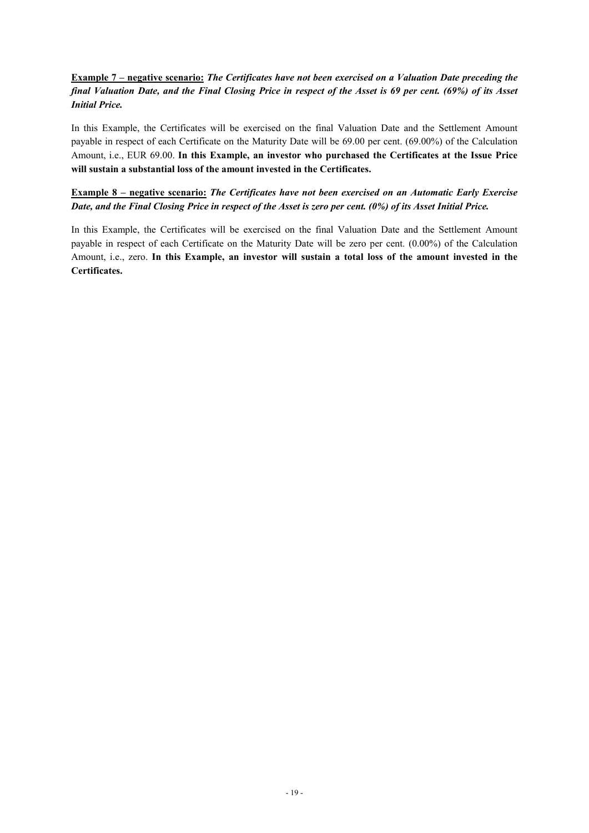## **Example 7 – negative scenario:** *The Certificates have not been exercised on a Valuation Date preceding the*  final Valuation Date, and the Final Closing Price in respect of the Asset is 69 per cent. (69%) of its Asset *Initial Price.*

In this Example, the Certificates will be exercised on the final Valuation Date and the Settlement Amount payable in respect of each Certificate on the Maturity Date will be 69.00 per cent. (69.00%) of the Calculation Amount, i.e., EUR 69.00. **In this Example, an investor who purchased the Certificates at the Issue Price will sustain a substantial loss of the amount invested in the Certificates.**

## **Example 8 – negative scenario:** *The Certificates have not been exercised on an Automatic Early Exercise* Date, and the Final Closing Price in respect of the Asset is zero per cent. (0%) of its Asset Initial Price.

In this Example, the Certificates will be exercised on the final Valuation Date and the Settlement Amount payable in respect of each Certificate on the Maturity Date will be zero per cent. (0.00%) of the Calculation Amount, i.e., zero. **In this Example, an investor will sustain a total loss of the amount invested in the Certificates.**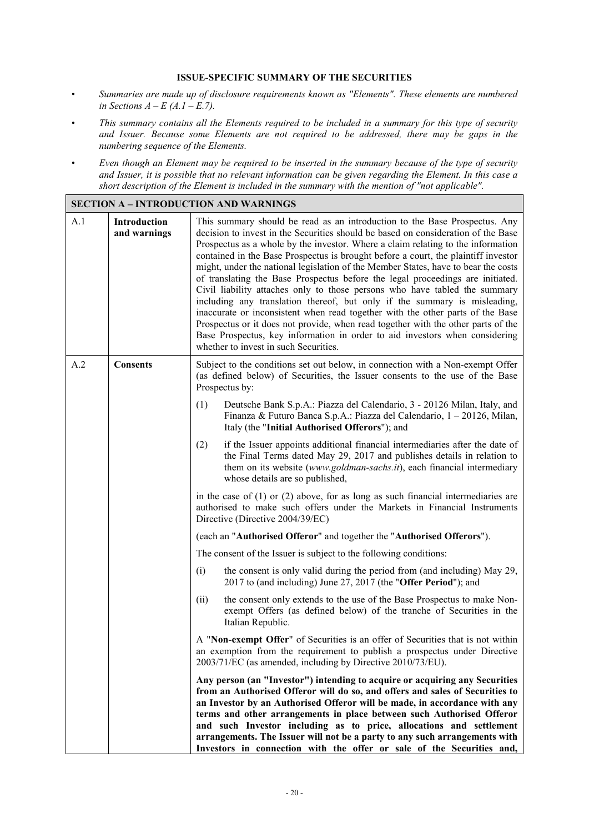### **ISSUE-SPECIFIC SUMMARY OF THE SECURITIES**

- *• Summaries are made up of disclosure requirements known as "Elements". These elements are numbered in Sections*  $A - E(A \cdot I - E \cdot 7)$ .
- This summary contains all the Elements required to be included in a summary for this type of security *and Issuer. Because some Elements are not required to be addressed, there may be gaps in the numbering sequence of the Elements.*
- Even though an Element may be required to be inserted in the summary because of the type of security and Issuer, it is possible that no relevant information can be given regarding the Element. In this case a *short description of the Element is included in the summary with the mention of "not applicable".*

|     |                              | <b>SECTION A - INTRODUCTION AND WARNINGS</b>                                                                                                                                                                                                                                                                                                                                                                                                                                                                                                                                                                                                                                                                                                                                                                                                                                                                                                                                |  |
|-----|------------------------------|-----------------------------------------------------------------------------------------------------------------------------------------------------------------------------------------------------------------------------------------------------------------------------------------------------------------------------------------------------------------------------------------------------------------------------------------------------------------------------------------------------------------------------------------------------------------------------------------------------------------------------------------------------------------------------------------------------------------------------------------------------------------------------------------------------------------------------------------------------------------------------------------------------------------------------------------------------------------------------|--|
| A.1 | Introduction<br>and warnings | This summary should be read as an introduction to the Base Prospectus. Any<br>decision to invest in the Securities should be based on consideration of the Base<br>Prospectus as a whole by the investor. Where a claim relating to the information<br>contained in the Base Prospectus is brought before a court, the plaintiff investor<br>might, under the national legislation of the Member States, have to bear the costs<br>of translating the Base Prospectus before the legal proceedings are initiated.<br>Civil liability attaches only to those persons who have tabled the summary<br>including any translation thereof, but only if the summary is misleading,<br>inaccurate or inconsistent when read together with the other parts of the Base<br>Prospectus or it does not provide, when read together with the other parts of the<br>Base Prospectus, key information in order to aid investors when considering<br>whether to invest in such Securities. |  |
| A.2 | <b>Consents</b>              | Subject to the conditions set out below, in connection with a Non-exempt Offer<br>(as defined below) of Securities, the Issuer consents to the use of the Base<br>Prospectus by:                                                                                                                                                                                                                                                                                                                                                                                                                                                                                                                                                                                                                                                                                                                                                                                            |  |
|     |                              | Deutsche Bank S.p.A.: Piazza del Calendario, 3 - 20126 Milan, Italy, and<br>(1)<br>Finanza & Futuro Banca S.p.A.: Piazza del Calendario, 1 – 20126, Milan,<br>Italy (the "Initial Authorised Offerors"); and                                                                                                                                                                                                                                                                                                                                                                                                                                                                                                                                                                                                                                                                                                                                                                |  |
|     |                              | if the Issuer appoints additional financial intermediaries after the date of<br>(2)<br>the Final Terms dated May 29, 2017 and publishes details in relation to<br>them on its website (www.goldman-sachs.it), each financial intermediary<br>whose details are so published,                                                                                                                                                                                                                                                                                                                                                                                                                                                                                                                                                                                                                                                                                                |  |
|     |                              | in the case of $(1)$ or $(2)$ above, for as long as such financial intermediaries are<br>authorised to make such offers under the Markets in Financial Instruments<br>Directive (Directive 2004/39/EC)                                                                                                                                                                                                                                                                                                                                                                                                                                                                                                                                                                                                                                                                                                                                                                      |  |
|     |                              | (each an "Authorised Offeror" and together the "Authorised Offerors").                                                                                                                                                                                                                                                                                                                                                                                                                                                                                                                                                                                                                                                                                                                                                                                                                                                                                                      |  |
|     |                              | The consent of the Issuer is subject to the following conditions:                                                                                                                                                                                                                                                                                                                                                                                                                                                                                                                                                                                                                                                                                                                                                                                                                                                                                                           |  |
|     |                              | the consent is only valid during the period from (and including) May 29,<br>(i)<br>2017 to (and including) June 27, 2017 (the "Offer Period"); and                                                                                                                                                                                                                                                                                                                                                                                                                                                                                                                                                                                                                                                                                                                                                                                                                          |  |
|     |                              | the consent only extends to the use of the Base Prospectus to make Non-<br>(ii)<br>exempt Offers (as defined below) of the tranche of Securities in the<br>Italian Republic.                                                                                                                                                                                                                                                                                                                                                                                                                                                                                                                                                                                                                                                                                                                                                                                                |  |
|     |                              | A "Non-exempt Offer" of Securities is an offer of Securities that is not within<br>an exemption from the requirement to publish a prospectus under Directive<br>2003/71/EC (as amended, including by Directive 2010/73/EU).                                                                                                                                                                                                                                                                                                                                                                                                                                                                                                                                                                                                                                                                                                                                                 |  |
|     |                              | Any person (an "Investor") intending to acquire or acquiring any Securities<br>from an Authorised Offeror will do so, and offers and sales of Securities to<br>an Investor by an Authorised Offeror will be made, in accordance with any<br>terms and other arrangements in place between such Authorised Offeror<br>and such Investor including as to price, allocations and settlement<br>arrangements. The Issuer will not be a party to any such arrangements with<br>Investors in connection with the offer or sale of the Securities and,                                                                                                                                                                                                                                                                                                                                                                                                                             |  |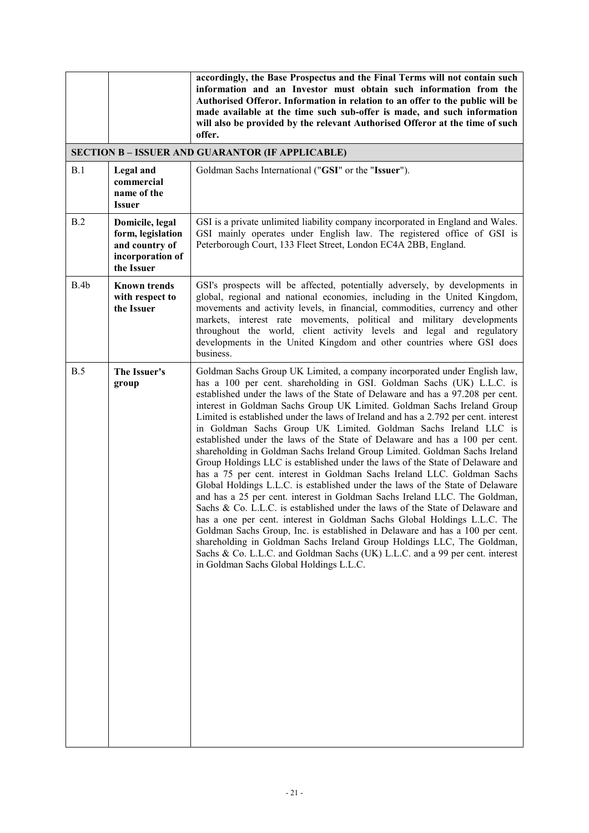|      |                                                                                          | accordingly, the Base Prospectus and the Final Terms will not contain such<br>information and an Investor must obtain such information from the<br>Authorised Offeror. Information in relation to an offer to the public will be<br>made available at the time such sub-offer is made, and such information<br>will also be provided by the relevant Authorised Offeror at the time of such<br>offer.                                                                                                                                                                                                                                                                                                                                                                                                                                                                                                                                                                                                                                                                                                                                                                                                                                                                                                                                                                                                               |
|------|------------------------------------------------------------------------------------------|---------------------------------------------------------------------------------------------------------------------------------------------------------------------------------------------------------------------------------------------------------------------------------------------------------------------------------------------------------------------------------------------------------------------------------------------------------------------------------------------------------------------------------------------------------------------------------------------------------------------------------------------------------------------------------------------------------------------------------------------------------------------------------------------------------------------------------------------------------------------------------------------------------------------------------------------------------------------------------------------------------------------------------------------------------------------------------------------------------------------------------------------------------------------------------------------------------------------------------------------------------------------------------------------------------------------------------------------------------------------------------------------------------------------|
|      |                                                                                          | <b>SECTION B - ISSUER AND GUARANTOR (IF APPLICABLE)</b>                                                                                                                                                                                                                                                                                                                                                                                                                                                                                                                                                                                                                                                                                                                                                                                                                                                                                                                                                                                                                                                                                                                                                                                                                                                                                                                                                             |
| B.1  | <b>Legal</b> and<br>commercial<br>name of the<br><b>Issuer</b>                           | Goldman Sachs International ("GSI" or the "Issuer").                                                                                                                                                                                                                                                                                                                                                                                                                                                                                                                                                                                                                                                                                                                                                                                                                                                                                                                                                                                                                                                                                                                                                                                                                                                                                                                                                                |
| B.2  | Domicile, legal<br>form, legislation<br>and country of<br>incorporation of<br>the Issuer | GSI is a private unlimited liability company incorporated in England and Wales.<br>GSI mainly operates under English law. The registered office of GSI is<br>Peterborough Court, 133 Fleet Street, London EC4A 2BB, England.                                                                                                                                                                                                                                                                                                                                                                                                                                                                                                                                                                                                                                                                                                                                                                                                                                                                                                                                                                                                                                                                                                                                                                                        |
| B.4b | <b>Known trends</b><br>with respect to<br>the Issuer                                     | GSI's prospects will be affected, potentially adversely, by developments in<br>global, regional and national economies, including in the United Kingdom,<br>movements and activity levels, in financial, commodities, currency and other<br>markets, interest rate movements, political and military developments<br>throughout the world, client activity levels and legal and regulatory<br>developments in the United Kingdom and other countries where GSI does<br>business.                                                                                                                                                                                                                                                                                                                                                                                                                                                                                                                                                                                                                                                                                                                                                                                                                                                                                                                                    |
| B.5  | The Issuer's<br>group                                                                    | Goldman Sachs Group UK Limited, a company incorporated under English law,<br>has a 100 per cent. shareholding in GSI. Goldman Sachs (UK) L.L.C. is<br>established under the laws of the State of Delaware and has a 97.208 per cent.<br>interest in Goldman Sachs Group UK Limited. Goldman Sachs Ireland Group<br>Limited is established under the laws of Ireland and has a 2.792 per cent. interest<br>in Goldman Sachs Group UK Limited. Goldman Sachs Ireland LLC is<br>established under the laws of the State of Delaware and has a 100 per cent.<br>shareholding in Goldman Sachs Ireland Group Limited. Goldman Sachs Ireland<br>Group Holdings LLC is established under the laws of the State of Delaware and<br>has a 75 per cent. interest in Goldman Sachs Ireland LLC. Goldman Sachs<br>Global Holdings L.L.C. is established under the laws of the State of Delaware<br>and has a 25 per cent. interest in Goldman Sachs Ireland LLC. The Goldman,<br>Sachs & Co. L.L.C. is established under the laws of the State of Delaware and<br>has a one per cent. interest in Goldman Sachs Global Holdings L.L.C. The<br>Goldman Sachs Group, Inc. is established in Delaware and has a 100 per cent.<br>shareholding in Goldman Sachs Ireland Group Holdings LLC, The Goldman,<br>Sachs & Co. L.L.C. and Goldman Sachs (UK) L.L.C. and a 99 per cent. interest<br>in Goldman Sachs Global Holdings L.L.C. |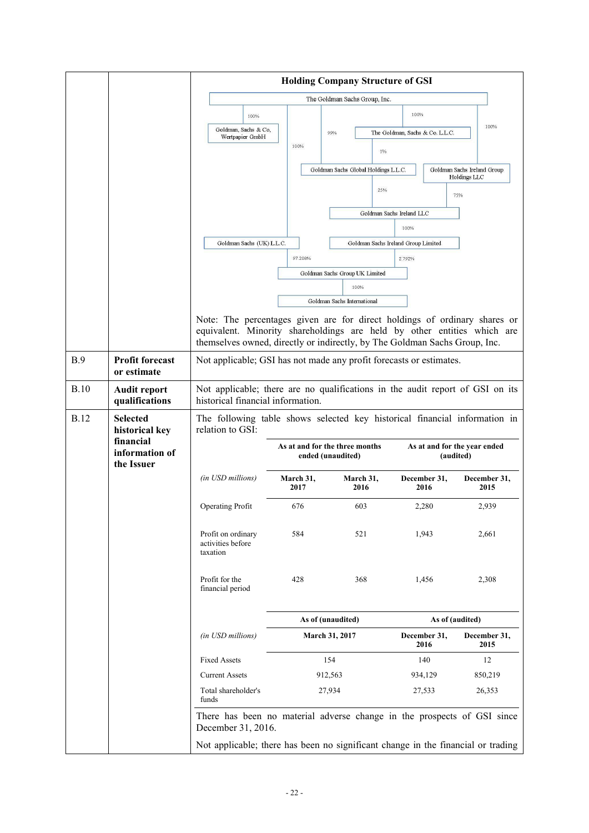|             |                                           | <b>Holding Company Structure of GSI</b>                                                                                                                                                                                            |                                                     |                                      |                                     |                                           |
|-------------|-------------------------------------------|------------------------------------------------------------------------------------------------------------------------------------------------------------------------------------------------------------------------------------|-----------------------------------------------------|--------------------------------------|-------------------------------------|-------------------------------------------|
|             |                                           | The Goldman Sachs Group, Inc.                                                                                                                                                                                                      |                                                     |                                      |                                     |                                           |
|             |                                           | 100%                                                                                                                                                                                                                               |                                                     |                                      | 100%                                |                                           |
|             |                                           | Goldman, Sachs & Co,<br>Wertpapier GmbH                                                                                                                                                                                            |                                                     | 99%                                  | The Goldman, Sachs & Co. L.L.C.     | 100%                                      |
|             |                                           |                                                                                                                                                                                                                                    | 100%                                                | $1\%$                                |                                     |                                           |
|             |                                           |                                                                                                                                                                                                                                    |                                                     | Goldman Sachs Global Holdings L.L.C. |                                     | Goldman Sachs Ireland Group               |
|             |                                           |                                                                                                                                                                                                                                    |                                                     |                                      |                                     | Holdings LLC                              |
|             |                                           |                                                                                                                                                                                                                                    |                                                     | 25%                                  |                                     | 75%                                       |
|             |                                           |                                                                                                                                                                                                                                    |                                                     |                                      | Goldman Sachs Ireland LLC           |                                           |
|             |                                           |                                                                                                                                                                                                                                    |                                                     |                                      | 100%                                |                                           |
|             |                                           | Goldman Sachs (UK) L.L.C.                                                                                                                                                                                                          |                                                     |                                      | Goldman Sachs Ireland Group Limited |                                           |
|             |                                           |                                                                                                                                                                                                                                    | 97.208%                                             |                                      | 2.792%                              |                                           |
|             |                                           |                                                                                                                                                                                                                                    |                                                     | Goldman Sachs Group UK Limited       |                                     |                                           |
|             |                                           |                                                                                                                                                                                                                                    |                                                     | 100%<br>Goldman Sachs International  |                                     |                                           |
|             |                                           |                                                                                                                                                                                                                                    |                                                     |                                      |                                     |                                           |
|             |                                           | Note: The percentages given are for direct holdings of ordinary shares or<br>equivalent. Minority shareholdings are held by other entities which are<br>themselves owned, directly or indirectly, by The Goldman Sachs Group, Inc. |                                                     |                                      |                                     |                                           |
| B.9         | <b>Profit forecast</b><br>or estimate     | Not applicable; GSI has not made any profit forecasts or estimates.                                                                                                                                                                |                                                     |                                      |                                     |                                           |
| <b>B.10</b> | <b>Audit report</b><br>qualifications     | Not applicable; there are no qualifications in the audit report of GSI on its<br>historical financial information.                                                                                                                 |                                                     |                                      |                                     |                                           |
| <b>B.12</b> | <b>Selected</b><br>historical key         | The following table shows selected key historical financial information in<br>relation to GSI:                                                                                                                                     |                                                     |                                      |                                     |                                           |
|             | financial<br>information of<br>the Issuer |                                                                                                                                                                                                                                    | As at and for the three months<br>ended (unaudited) |                                      |                                     | As at and for the year ended<br>(audited) |
|             |                                           | (in USD millions)                                                                                                                                                                                                                  | March 31,<br>2017                                   | March 31,<br>2016                    | December 31,<br>2016                | December 31,<br>2015                      |
|             |                                           | <b>Operating Profit</b>                                                                                                                                                                                                            | 676                                                 | 603                                  | 2,280                               | 2,939                                     |
|             |                                           | Profit on ordinary<br>activities before<br>taxation                                                                                                                                                                                | 584                                                 | 521                                  | 1,943                               | 2,661                                     |
|             |                                           | Profit for the<br>financial period                                                                                                                                                                                                 | 428                                                 | 368                                  | 1,456                               | 2,308                                     |
|             |                                           |                                                                                                                                                                                                                                    |                                                     | As of (unaudited)                    |                                     | As of (audited)                           |
|             |                                           | (in USD millions)                                                                                                                                                                                                                  |                                                     | March 31, 2017                       | December 31,<br>2016                | December 31,<br>2015                      |
|             |                                           | <b>Fixed Assets</b>                                                                                                                                                                                                                |                                                     | 154                                  | 140                                 | 12                                        |
|             |                                           | <b>Current Assets</b>                                                                                                                                                                                                              |                                                     | 912,563                              | 934,129                             | 850,219                                   |
|             |                                           | Total shareholder's<br>funds                                                                                                                                                                                                       |                                                     | 27,934                               | 27,533                              | 26,353                                    |
|             |                                           | There has been no material adverse change in the prospects of GSI since<br>December 31, 2016.                                                                                                                                      |                                                     |                                      |                                     |                                           |
|             |                                           | Not applicable; there has been no significant change in the financial or trading                                                                                                                                                   |                                                     |                                      |                                     |                                           |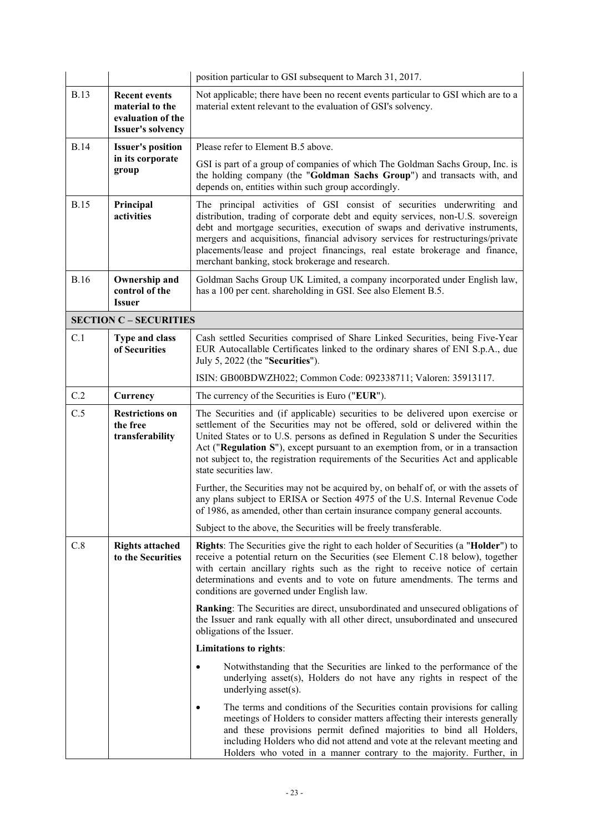|             |                                                                                          | position particular to GSI subsequent to March 31, 2017.                                                                                                                                                                                                                                                                                                                                                                                                        |  |
|-------------|------------------------------------------------------------------------------------------|-----------------------------------------------------------------------------------------------------------------------------------------------------------------------------------------------------------------------------------------------------------------------------------------------------------------------------------------------------------------------------------------------------------------------------------------------------------------|--|
| <b>B.13</b> | <b>Recent events</b><br>material to the<br>evaluation of the<br><b>Issuer's solvency</b> | Not applicable; there have been no recent events particular to GSI which are to a<br>material extent relevant to the evaluation of GSI's solvency.                                                                                                                                                                                                                                                                                                              |  |
| <b>B.14</b> | <b>Issuer's position</b>                                                                 | Please refer to Element B.5 above.                                                                                                                                                                                                                                                                                                                                                                                                                              |  |
|             | in its corporate<br>group                                                                | GSI is part of a group of companies of which The Goldman Sachs Group, Inc. is<br>the holding company (the "Goldman Sachs Group") and transacts with, and<br>depends on, entities within such group accordingly.                                                                                                                                                                                                                                                 |  |
| <b>B.15</b> | Principal<br>activities                                                                  | The principal activities of GSI consist of securities underwriting and<br>distribution, trading of corporate debt and equity services, non-U.S. sovereign<br>debt and mortgage securities, execution of swaps and derivative instruments,<br>mergers and acquisitions, financial advisory services for restructurings/private<br>placements/lease and project financings, real estate brokerage and finance,<br>merchant banking, stock brokerage and research. |  |
| <b>B.16</b> | Ownership and<br>control of the<br><b>Issuer</b>                                         | Goldman Sachs Group UK Limited, a company incorporated under English law,<br>has a 100 per cent. shareholding in GSI. See also Element B.5.                                                                                                                                                                                                                                                                                                                     |  |
|             | <b>SECTION C - SECURITIES</b>                                                            |                                                                                                                                                                                                                                                                                                                                                                                                                                                                 |  |
| C.1         | <b>Type and class</b><br>of Securities                                                   | Cash settled Securities comprised of Share Linked Securities, being Five-Year<br>EUR Autocallable Certificates linked to the ordinary shares of ENI S.p.A., due<br>July 5, 2022 (the "Securities").                                                                                                                                                                                                                                                             |  |
|             |                                                                                          | ISIN: GB00BDWZH022; Common Code: 092338711; Valoren: 35913117.                                                                                                                                                                                                                                                                                                                                                                                                  |  |
| C.2         | Currency                                                                                 | The currency of the Securities is Euro ("EUR").                                                                                                                                                                                                                                                                                                                                                                                                                 |  |
| C.5         | <b>Restrictions on</b><br>the free<br>transferability                                    | The Securities and (if applicable) securities to be delivered upon exercise or<br>settlement of the Securities may not be offered, sold or delivered within the<br>United States or to U.S. persons as defined in Regulation S under the Securities<br>Act ("Regulation S"), except pursuant to an exemption from, or in a transaction<br>not subject to, the registration requirements of the Securities Act and applicable<br>state securities law.           |  |
|             |                                                                                          | Further, the Securities may not be acquired by, on behalf of, or with the assets of<br>any plans subject to ERISA or Section 4975 of the U.S. Internal Revenue Code<br>of 1986, as amended, other than certain insurance company general accounts.                                                                                                                                                                                                              |  |
|             |                                                                                          | Subject to the above, the Securities will be freely transferable.                                                                                                                                                                                                                                                                                                                                                                                               |  |
| C.8         | <b>Rights attached</b><br>to the Securities                                              | Rights: The Securities give the right to each holder of Securities (a "Holder") to<br>receive a potential return on the Securities (see Element C.18 below), together<br>with certain ancillary rights such as the right to receive notice of certain<br>determinations and events and to vote on future amendments. The terms and<br>conditions are governed under English law.                                                                                |  |
|             |                                                                                          | Ranking: The Securities are direct, unsubordinated and unsecured obligations of<br>the Issuer and rank equally with all other direct, unsubordinated and unsecured<br>obligations of the Issuer.                                                                                                                                                                                                                                                                |  |
|             |                                                                                          | Limitations to rights:                                                                                                                                                                                                                                                                                                                                                                                                                                          |  |
|             |                                                                                          | Notwithstanding that the Securities are linked to the performance of the<br>underlying asset(s), Holders do not have any rights in respect of the<br>underlying asset(s).                                                                                                                                                                                                                                                                                       |  |
|             |                                                                                          | The terms and conditions of the Securities contain provisions for calling<br>meetings of Holders to consider matters affecting their interests generally<br>and these provisions permit defined majorities to bind all Holders,<br>including Holders who did not attend and vote at the relevant meeting and<br>Holders who voted in a manner contrary to the majority. Further, in                                                                             |  |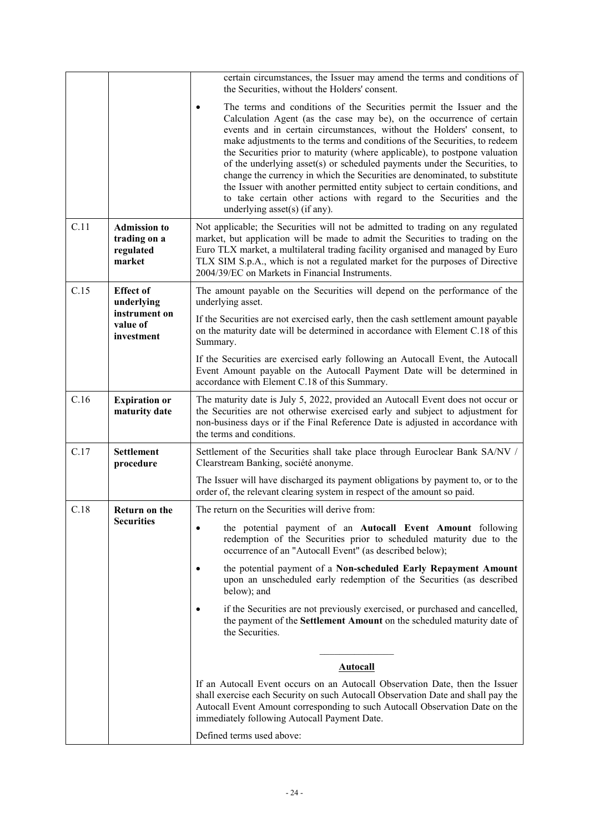|      |                                                            | certain circumstances, the Issuer may amend the terms and conditions of<br>the Securities, without the Holders' consent.                                                                                                                                                                                                                                                                                                                                                                                                                                                                                                                                                                                                           |
|------|------------------------------------------------------------|------------------------------------------------------------------------------------------------------------------------------------------------------------------------------------------------------------------------------------------------------------------------------------------------------------------------------------------------------------------------------------------------------------------------------------------------------------------------------------------------------------------------------------------------------------------------------------------------------------------------------------------------------------------------------------------------------------------------------------|
|      |                                                            | The terms and conditions of the Securities permit the Issuer and the<br>Calculation Agent (as the case may be), on the occurrence of certain<br>events and in certain circumstances, without the Holders' consent, to<br>make adjustments to the terms and conditions of the Securities, to redeem<br>the Securities prior to maturity (where applicable), to postpone valuation<br>of the underlying asset(s) or scheduled payments under the Securities, to<br>change the currency in which the Securities are denominated, to substitute<br>the Issuer with another permitted entity subject to certain conditions, and<br>to take certain other actions with regard to the Securities and the<br>underlying asset(s) (if any). |
| C.11 | <b>Admission to</b><br>trading on a<br>regulated<br>market | Not applicable; the Securities will not be admitted to trading on any regulated<br>market, but application will be made to admit the Securities to trading on the<br>Euro TLX market, a multilateral trading facility organised and managed by Euro<br>TLX SIM S.p.A., which is not a regulated market for the purposes of Directive<br>2004/39/EC on Markets in Financial Instruments.                                                                                                                                                                                                                                                                                                                                            |
| C.15 | <b>Effect of</b><br>underlying                             | The amount payable on the Securities will depend on the performance of the<br>underlying asset.                                                                                                                                                                                                                                                                                                                                                                                                                                                                                                                                                                                                                                    |
|      | instrument on<br>value of<br>investment                    | If the Securities are not exercised early, then the cash settlement amount payable<br>on the maturity date will be determined in accordance with Element C.18 of this<br>Summary.                                                                                                                                                                                                                                                                                                                                                                                                                                                                                                                                                  |
|      |                                                            | If the Securities are exercised early following an Autocall Event, the Autocall<br>Event Amount payable on the Autocall Payment Date will be determined in<br>accordance with Element C.18 of this Summary.                                                                                                                                                                                                                                                                                                                                                                                                                                                                                                                        |
| C.16 | <b>Expiration or</b><br>maturity date                      | The maturity date is July 5, 2022, provided an Autocall Event does not occur or<br>the Securities are not otherwise exercised early and subject to adjustment for<br>non-business days or if the Final Reference Date is adjusted in accordance with<br>the terms and conditions.                                                                                                                                                                                                                                                                                                                                                                                                                                                  |
| C.17 | <b>Settlement</b><br>procedure                             | Settlement of the Securities shall take place through Euroclear Bank SA/NV /<br>Clearstream Banking, société anonyme.                                                                                                                                                                                                                                                                                                                                                                                                                                                                                                                                                                                                              |
|      |                                                            | The Issuer will have discharged its payment obligations by payment to, or to the<br>order of, the relevant clearing system in respect of the amount so paid.                                                                                                                                                                                                                                                                                                                                                                                                                                                                                                                                                                       |
| C.18 | Return on the                                              | The return on the Securities will derive from:                                                                                                                                                                                                                                                                                                                                                                                                                                                                                                                                                                                                                                                                                     |
|      | <b>Securities</b>                                          | the potential payment of an Autocall Event Amount following<br>redemption of the Securities prior to scheduled maturity due to the<br>occurrence of an "Autocall Event" (as described below);                                                                                                                                                                                                                                                                                                                                                                                                                                                                                                                                      |
|      |                                                            | the potential payment of a Non-scheduled Early Repayment Amount<br>upon an unscheduled early redemption of the Securities (as described<br>below); and                                                                                                                                                                                                                                                                                                                                                                                                                                                                                                                                                                             |
|      |                                                            | if the Securities are not previously exercised, or purchased and cancelled,<br>the payment of the Settlement Amount on the scheduled maturity date of<br>the Securities.                                                                                                                                                                                                                                                                                                                                                                                                                                                                                                                                                           |
|      |                                                            |                                                                                                                                                                                                                                                                                                                                                                                                                                                                                                                                                                                                                                                                                                                                    |
|      |                                                            | <b>Autocall</b>                                                                                                                                                                                                                                                                                                                                                                                                                                                                                                                                                                                                                                                                                                                    |
|      |                                                            | If an Autocall Event occurs on an Autocall Observation Date, then the Issuer<br>shall exercise each Security on such Autocall Observation Date and shall pay the<br>Autocall Event Amount corresponding to such Autocall Observation Date on the<br>immediately following Autocall Payment Date.                                                                                                                                                                                                                                                                                                                                                                                                                                   |
|      |                                                            | Defined terms used above:                                                                                                                                                                                                                                                                                                                                                                                                                                                                                                                                                                                                                                                                                                          |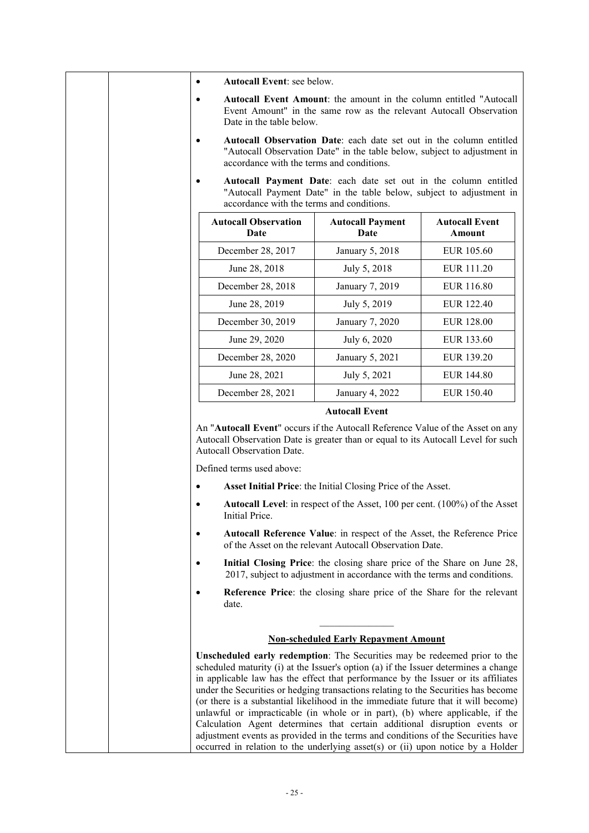| $\bullet$ | Autocall Event: see below.                                                                                                                                                                                                                                                                                                                                                                                                                                                                                                                                                                                                                                                                                                                                             |                                                                                                                                                     |                                        |
|-----------|------------------------------------------------------------------------------------------------------------------------------------------------------------------------------------------------------------------------------------------------------------------------------------------------------------------------------------------------------------------------------------------------------------------------------------------------------------------------------------------------------------------------------------------------------------------------------------------------------------------------------------------------------------------------------------------------------------------------------------------------------------------------|-----------------------------------------------------------------------------------------------------------------------------------------------------|----------------------------------------|
| $\bullet$ | Date in the table below.                                                                                                                                                                                                                                                                                                                                                                                                                                                                                                                                                                                                                                                                                                                                               | <b>Autocall Event Amount:</b> the amount in the column entitled "Autocall"<br>Event Amount" in the same row as the relevant Autocall Observation    |                                        |
| $\bullet$ | accordance with the terms and conditions.                                                                                                                                                                                                                                                                                                                                                                                                                                                                                                                                                                                                                                                                                                                              | Autocall Observation Date: each date set out in the column entitled<br>"Autocall Observation Date" in the table below, subject to adjustment in     |                                        |
| $\bullet$ | accordance with the terms and conditions.                                                                                                                                                                                                                                                                                                                                                                                                                                                                                                                                                                                                                                                                                                                              | Autocall Payment Date: each date set out in the column entitled<br>"Autocall Payment Date" in the table below, subject to adjustment in             |                                        |
|           | <b>Autocall Observation</b><br>Date                                                                                                                                                                                                                                                                                                                                                                                                                                                                                                                                                                                                                                                                                                                                    | <b>Autocall Payment</b><br>Date                                                                                                                     | <b>Autocall Event</b><br><b>Amount</b> |
|           | December 28, 2017                                                                                                                                                                                                                                                                                                                                                                                                                                                                                                                                                                                                                                                                                                                                                      | January 5, 2018                                                                                                                                     | EUR 105.60                             |
|           | June 28, 2018                                                                                                                                                                                                                                                                                                                                                                                                                                                                                                                                                                                                                                                                                                                                                          | July 5, 2018                                                                                                                                        | EUR 111.20                             |
|           | December 28, 2018                                                                                                                                                                                                                                                                                                                                                                                                                                                                                                                                                                                                                                                                                                                                                      | January 7, 2019                                                                                                                                     | EUR 116.80                             |
|           | June 28, 2019                                                                                                                                                                                                                                                                                                                                                                                                                                                                                                                                                                                                                                                                                                                                                          | July 5, 2019                                                                                                                                        | EUR 122.40                             |
|           | December 30, 2019                                                                                                                                                                                                                                                                                                                                                                                                                                                                                                                                                                                                                                                                                                                                                      | January 7, 2020                                                                                                                                     | <b>EUR 128.00</b>                      |
|           | June 29, 2020                                                                                                                                                                                                                                                                                                                                                                                                                                                                                                                                                                                                                                                                                                                                                          | July 6, 2020                                                                                                                                        | EUR 133.60                             |
|           | December 28, 2020                                                                                                                                                                                                                                                                                                                                                                                                                                                                                                                                                                                                                                                                                                                                                      | January 5, 2021                                                                                                                                     | EUR 139.20                             |
|           | June 28, 2021                                                                                                                                                                                                                                                                                                                                                                                                                                                                                                                                                                                                                                                                                                                                                          | July 5, 2021                                                                                                                                        | EUR 144.80                             |
|           | December 28, 2021                                                                                                                                                                                                                                                                                                                                                                                                                                                                                                                                                                                                                                                                                                                                                      | January 4, 2022                                                                                                                                     | <b>EUR 150.40</b>                      |
|           | An "Autocall Event" occurs if the Autocall Reference Value of the Asset on any<br>Autocall Observation Date is greater than or equal to its Autocall Level for such<br><b>Autocall Observation Date.</b><br>Defined terms used above:                                                                                                                                                                                                                                                                                                                                                                                                                                                                                                                                  |                                                                                                                                                     |                                        |
| $\bullet$ |                                                                                                                                                                                                                                                                                                                                                                                                                                                                                                                                                                                                                                                                                                                                                                        | Asset Initial Price: the Initial Closing Price of the Asset.                                                                                        |                                        |
|           | Initial Price.                                                                                                                                                                                                                                                                                                                                                                                                                                                                                                                                                                                                                                                                                                                                                         | <b>Autocall Level:</b> in respect of the Asset, 100 per cent. (100%) of the Asset                                                                   |                                        |
| $\bullet$ |                                                                                                                                                                                                                                                                                                                                                                                                                                                                                                                                                                                                                                                                                                                                                                        | Autocall Reference Value: in respect of the Asset, the Reference Price<br>of the Asset on the relevant Autocall Observation Date.                   |                                        |
|           |                                                                                                                                                                                                                                                                                                                                                                                                                                                                                                                                                                                                                                                                                                                                                                        | Initial Closing Price: the closing share price of the Share on June 28,<br>2017, subject to adjustment in accordance with the terms and conditions. |                                        |
|           | date.                                                                                                                                                                                                                                                                                                                                                                                                                                                                                                                                                                                                                                                                                                                                                                  | Reference Price: the closing share price of the Share for the relevant                                                                              |                                        |
|           |                                                                                                                                                                                                                                                                                                                                                                                                                                                                                                                                                                                                                                                                                                                                                                        | <b>Non-scheduled Early Repayment Amount</b>                                                                                                         |                                        |
|           | Unscheduled early redemption: The Securities may be redeemed prior to the<br>scheduled maturity (i) at the Issuer's option (a) if the Issuer determines a change<br>in applicable law has the effect that performance by the Issuer or its affiliates<br>under the Securities or hedging transactions relating to the Securities has become<br>(or there is a substantial likelihood in the immediate future that it will become)<br>unlawful or impracticable (in whole or in part), (b) where applicable, if the<br>Calculation Agent determines that certain additional disruption events or<br>adjustment events as provided in the terms and conditions of the Securities have<br>occurred in relation to the underlying asset(s) or (ii) upon notice by a Holder |                                                                                                                                                     |                                        |

 $\mathbf{r}$ 

٦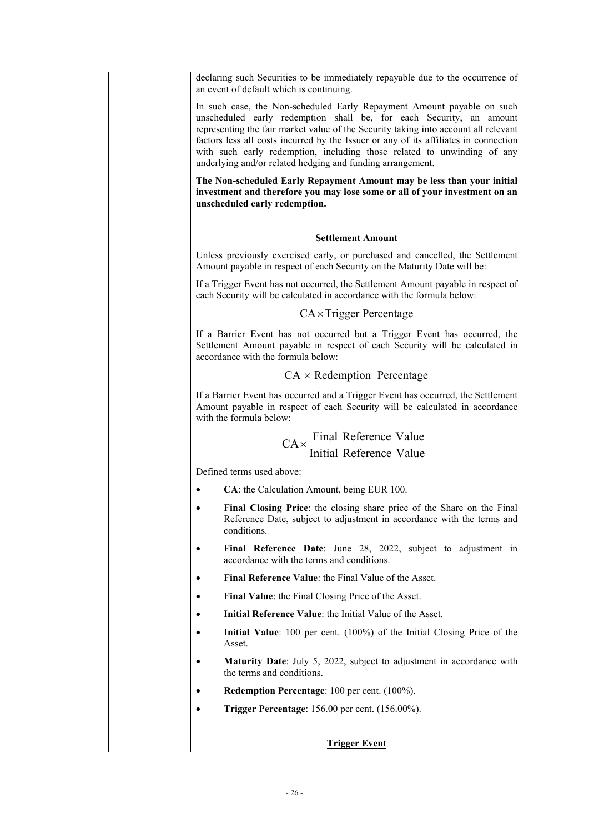| declaring such Securities to be immediately repayable due to the occurrence of<br>an event of default which is continuing.                                                                                                                                                                                                                                                                                                                                            |
|-----------------------------------------------------------------------------------------------------------------------------------------------------------------------------------------------------------------------------------------------------------------------------------------------------------------------------------------------------------------------------------------------------------------------------------------------------------------------|
| In such case, the Non-scheduled Early Repayment Amount payable on such<br>unscheduled early redemption shall be, for each Security, an amount<br>representing the fair market value of the Security taking into account all relevant<br>factors less all costs incurred by the Issuer or any of its affiliates in connection<br>with such early redemption, including those related to unwinding of any<br>underlying and/or related hedging and funding arrangement. |
| The Non-scheduled Early Repayment Amount may be less than your initial<br>investment and therefore you may lose some or all of your investment on an<br>unscheduled early redemption.                                                                                                                                                                                                                                                                                 |
| <b>Settlement Amount</b>                                                                                                                                                                                                                                                                                                                                                                                                                                              |
| Unless previously exercised early, or purchased and cancelled, the Settlement<br>Amount payable in respect of each Security on the Maturity Date will be:                                                                                                                                                                                                                                                                                                             |
| If a Trigger Event has not occurred, the Settlement Amount payable in respect of<br>each Security will be calculated in accordance with the formula below:                                                                                                                                                                                                                                                                                                            |
| $CA \times Trigger$ Percentage                                                                                                                                                                                                                                                                                                                                                                                                                                        |
| If a Barrier Event has not occurred but a Trigger Event has occurred, the<br>Settlement Amount payable in respect of each Security will be calculated in<br>accordance with the formula below:                                                                                                                                                                                                                                                                        |
| $CA \times Redemption$ Percentage                                                                                                                                                                                                                                                                                                                                                                                                                                     |
| If a Barrier Event has occurred and a Trigger Event has occurred, the Settlement<br>Amount payable in respect of each Security will be calculated in accordance<br>with the formula below:                                                                                                                                                                                                                                                                            |
| $CA \times \frac{Final$ Reference Value<br>Initial Reference Value                                                                                                                                                                                                                                                                                                                                                                                                    |
| Defined terms used above:                                                                                                                                                                                                                                                                                                                                                                                                                                             |
| CA: the Calculation Amount, being EUR 100.                                                                                                                                                                                                                                                                                                                                                                                                                            |
| Final Closing Price: the closing share price of the Share on the Final<br>Reference Date, subject to adjustment in accordance with the terms and<br>conditions.                                                                                                                                                                                                                                                                                                       |
| Final Reference Date: June 28, 2022, subject to adjustment in<br>$\bullet$<br>accordance with the terms and conditions.                                                                                                                                                                                                                                                                                                                                               |
| Final Reference Value: the Final Value of the Asset.<br>$\bullet$                                                                                                                                                                                                                                                                                                                                                                                                     |
| Final Value: the Final Closing Price of the Asset.<br>$\bullet$                                                                                                                                                                                                                                                                                                                                                                                                       |
| Initial Reference Value: the Initial Value of the Asset.<br>٠                                                                                                                                                                                                                                                                                                                                                                                                         |
| Initial Value: 100 per cent. (100%) of the Initial Closing Price of the<br>Asset.                                                                                                                                                                                                                                                                                                                                                                                     |
| <b>Maturity Date:</b> July 5, 2022, subject to adjustment in accordance with<br>$\bullet$<br>the terms and conditions.                                                                                                                                                                                                                                                                                                                                                |
| Redemption Percentage: 100 per cent. (100%).<br>٠                                                                                                                                                                                                                                                                                                                                                                                                                     |
| <b>Trigger Percentage:</b> 156.00 per cent. (156.00%).<br>$\bullet$                                                                                                                                                                                                                                                                                                                                                                                                   |
| <b>Trigger Event</b>                                                                                                                                                                                                                                                                                                                                                                                                                                                  |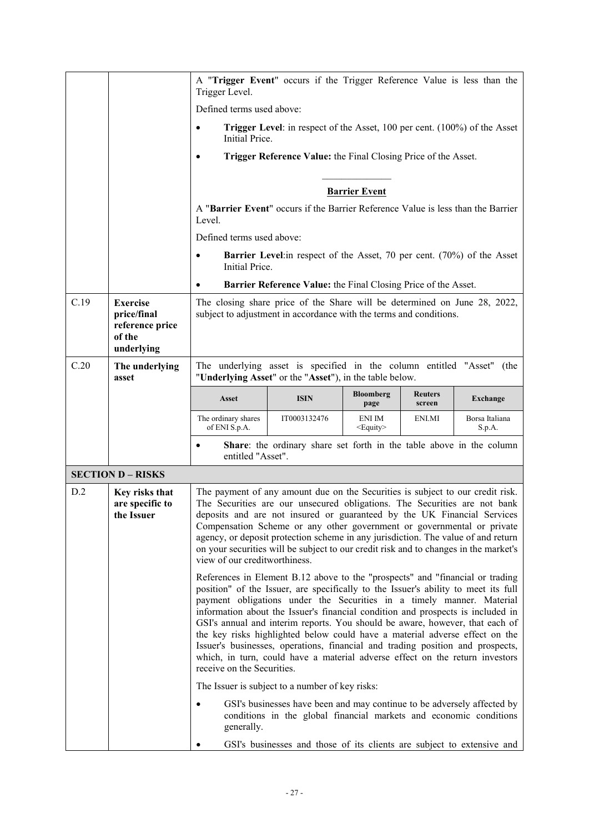|      |                                                                           | Trigger Level.                                                                                                  | A "Trigger Event" occurs if the Trigger Reference Value is less than the                                                                                                                                                                                                                                                                                                                                                                                                                                                                                                                                                                                         |                             |                          |                          |
|------|---------------------------------------------------------------------------|-----------------------------------------------------------------------------------------------------------------|------------------------------------------------------------------------------------------------------------------------------------------------------------------------------------------------------------------------------------------------------------------------------------------------------------------------------------------------------------------------------------------------------------------------------------------------------------------------------------------------------------------------------------------------------------------------------------------------------------------------------------------------------------------|-----------------------------|--------------------------|--------------------------|
|      |                                                                           | Defined terms used above:                                                                                       |                                                                                                                                                                                                                                                                                                                                                                                                                                                                                                                                                                                                                                                                  |                             |                          |                          |
|      |                                                                           | <b>Trigger Level:</b> in respect of the Asset, 100 per cent. (100%) of the Asset<br>$\bullet$<br>Initial Price. |                                                                                                                                                                                                                                                                                                                                                                                                                                                                                                                                                                                                                                                                  |                             |                          |                          |
|      |                                                                           | $\bullet$                                                                                                       | Trigger Reference Value: the Final Closing Price of the Asset.                                                                                                                                                                                                                                                                                                                                                                                                                                                                                                                                                                                                   |                             |                          |                          |
|      |                                                                           |                                                                                                                 |                                                                                                                                                                                                                                                                                                                                                                                                                                                                                                                                                                                                                                                                  | <b>Barrier Event</b>        |                          |                          |
|      |                                                                           | Level.                                                                                                          | A "Barrier Event" occurs if the Barrier Reference Value is less than the Barrier                                                                                                                                                                                                                                                                                                                                                                                                                                                                                                                                                                                 |                             |                          |                          |
|      |                                                                           | Defined terms used above:                                                                                       |                                                                                                                                                                                                                                                                                                                                                                                                                                                                                                                                                                                                                                                                  |                             |                          |                          |
|      |                                                                           | $\bullet$<br>Initial Price.                                                                                     | <b>Barrier Level</b> : in respect of the Asset, 70 per cent. (70%) of the Asset                                                                                                                                                                                                                                                                                                                                                                                                                                                                                                                                                                                  |                             |                          |                          |
|      |                                                                           | $\bullet$                                                                                                       | Barrier Reference Value: the Final Closing Price of the Asset.                                                                                                                                                                                                                                                                                                                                                                                                                                                                                                                                                                                                   |                             |                          |                          |
| C.19 | <b>Exercise</b><br>price/final<br>reference price<br>of the<br>underlying |                                                                                                                 | The closing share price of the Share will be determined on June 28, 2022,<br>subject to adjustment in accordance with the terms and conditions.                                                                                                                                                                                                                                                                                                                                                                                                                                                                                                                  |                             |                          |                          |
| C.20 | The underlying<br>asset                                                   |                                                                                                                 | The underlying asset is specified in the column entitled "Asset" (the<br>"Underlying Asset" or the "Asset"), in the table below.                                                                                                                                                                                                                                                                                                                                                                                                                                                                                                                                 |                             |                          |                          |
|      |                                                                           | Asset                                                                                                           | <b>ISIN</b>                                                                                                                                                                                                                                                                                                                                                                                                                                                                                                                                                                                                                                                      | <b>Bloomberg</b><br>page    | <b>Reuters</b><br>screen | <b>Exchange</b>          |
|      |                                                                           | The ordinary shares<br>of ENI S.p.A.                                                                            | IT0003132476                                                                                                                                                                                                                                                                                                                                                                                                                                                                                                                                                                                                                                                     | ENI IM<br><equity></equity> | ENI.MI                   | Borsa Italiana<br>S.p.A. |
|      |                                                                           | $\bullet$<br>entitled "Asset".                                                                                  | Share: the ordinary share set forth in the table above in the column                                                                                                                                                                                                                                                                                                                                                                                                                                                                                                                                                                                             |                             |                          |                          |
|      | <b>SECTION D - RISKS</b>                                                  |                                                                                                                 |                                                                                                                                                                                                                                                                                                                                                                                                                                                                                                                                                                                                                                                                  |                             |                          |                          |
| D.2  | Key risks that<br>are specific to<br>the Issuer                           | view of our creditworthiness.                                                                                   | The payment of any amount due on the Securities is subject to our credit risk.<br>The Securities are our unsecured obligations. The Securities are not bank<br>deposits and are not insured or guaranteed by the UK Financial Services<br>Compensation Scheme or any other government or governmental or private<br>agency, or deposit protection scheme in any jurisdiction. The value of and return<br>on your securities will be subject to our credit risk and to changes in the market's                                                                                                                                                                    |                             |                          |                          |
|      |                                                                           | receive on the Securities.                                                                                      | References in Element B.12 above to the "prospects" and "financial or trading<br>position" of the Issuer, are specifically to the Issuer's ability to meet its full<br>payment obligations under the Securities in a timely manner. Material<br>information about the Issuer's financial condition and prospects is included in<br>GSI's annual and interim reports. You should be aware, however, that each of<br>the key risks highlighted below could have a material adverse effect on the<br>Issuer's businesses, operations, financial and trading position and prospects,<br>which, in turn, could have a material adverse effect on the return investors |                             |                          |                          |
|      |                                                                           |                                                                                                                 | The Issuer is subject to a number of key risks:                                                                                                                                                                                                                                                                                                                                                                                                                                                                                                                                                                                                                  |                             |                          |                          |
|      |                                                                           | generally.                                                                                                      | GSI's businesses have been and may continue to be adversely affected by<br>conditions in the global financial markets and economic conditions                                                                                                                                                                                                                                                                                                                                                                                                                                                                                                                    |                             |                          |                          |
|      |                                                                           |                                                                                                                 | GSI's businesses and those of its clients are subject to extensive and                                                                                                                                                                                                                                                                                                                                                                                                                                                                                                                                                                                           |                             |                          |                          |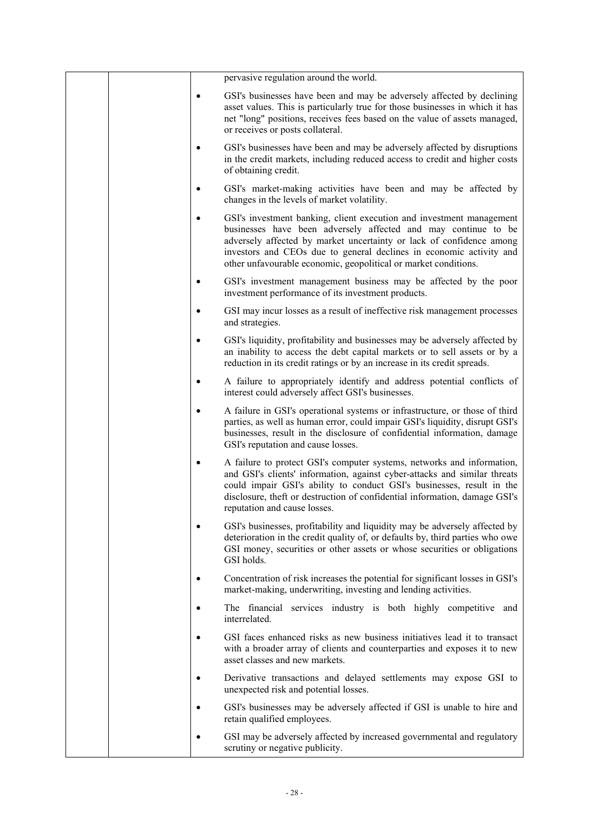|           | pervasive regulation around the world.                                                                                                                                                                                                                                                                                                                   |
|-----------|----------------------------------------------------------------------------------------------------------------------------------------------------------------------------------------------------------------------------------------------------------------------------------------------------------------------------------------------------------|
| $\bullet$ | GSI's businesses have been and may be adversely affected by declining<br>asset values. This is particularly true for those businesses in which it has<br>net "long" positions, receives fees based on the value of assets managed,<br>or receives or posts collateral.                                                                                   |
| ٠         | GSI's businesses have been and may be adversely affected by disruptions<br>in the credit markets, including reduced access to credit and higher costs<br>of obtaining credit.                                                                                                                                                                            |
|           | GSI's market-making activities have been and may be affected by<br>changes in the levels of market volatility.                                                                                                                                                                                                                                           |
| $\bullet$ | GSI's investment banking, client execution and investment management<br>businesses have been adversely affected and may continue to be<br>adversely affected by market uncertainty or lack of confidence among<br>investors and CEOs due to general declines in economic activity and<br>other unfavourable economic, geopolitical or market conditions. |
|           | GSI's investment management business may be affected by the poor<br>investment performance of its investment products.                                                                                                                                                                                                                                   |
| $\bullet$ | GSI may incur losses as a result of ineffective risk management processes<br>and strategies.                                                                                                                                                                                                                                                             |
| $\bullet$ | GSI's liquidity, profitability and businesses may be adversely affected by<br>an inability to access the debt capital markets or to sell assets or by a<br>reduction in its credit ratings or by an increase in its credit spreads.                                                                                                                      |
| ٠         | A failure to appropriately identify and address potential conflicts of<br>interest could adversely affect GSI's businesses.                                                                                                                                                                                                                              |
|           | A failure in GSI's operational systems or infrastructure, or those of third<br>parties, as well as human error, could impair GSI's liquidity, disrupt GSI's<br>businesses, result in the disclosure of confidential information, damage<br>GSI's reputation and cause losses.                                                                            |
|           | A failure to protect GSI's computer systems, networks and information,<br>and GSI's clients' information, against cyber-attacks and similar threats<br>could impair GSI's ability to conduct GSI's businesses, result in the<br>disclosure, theft or destruction of confidential information, damage GSI's<br>reputation and cause losses.               |
| $\bullet$ | GSI's businesses, profitability and liquidity may be adversely affected by<br>deterioration in the credit quality of, or defaults by, third parties who owe<br>GSI money, securities or other assets or whose securities or obligations<br>GSI holds.                                                                                                    |
| $\bullet$ | Concentration of risk increases the potential for significant losses in GSI's<br>market-making, underwriting, investing and lending activities.                                                                                                                                                                                                          |
| $\bullet$ | The financial services industry is both highly competitive and<br>interrelated.                                                                                                                                                                                                                                                                          |
| $\bullet$ | GSI faces enhanced risks as new business initiatives lead it to transact<br>with a broader array of clients and counterparties and exposes it to new<br>asset classes and new markets.                                                                                                                                                                   |
| $\bullet$ | Derivative transactions and delayed settlements may expose GSI to<br>unexpected risk and potential losses.                                                                                                                                                                                                                                               |
| $\bullet$ | GSI's businesses may be adversely affected if GSI is unable to hire and<br>retain qualified employees.                                                                                                                                                                                                                                                   |
| $\bullet$ | GSI may be adversely affected by increased governmental and regulatory<br>scrutiny or negative publicity.                                                                                                                                                                                                                                                |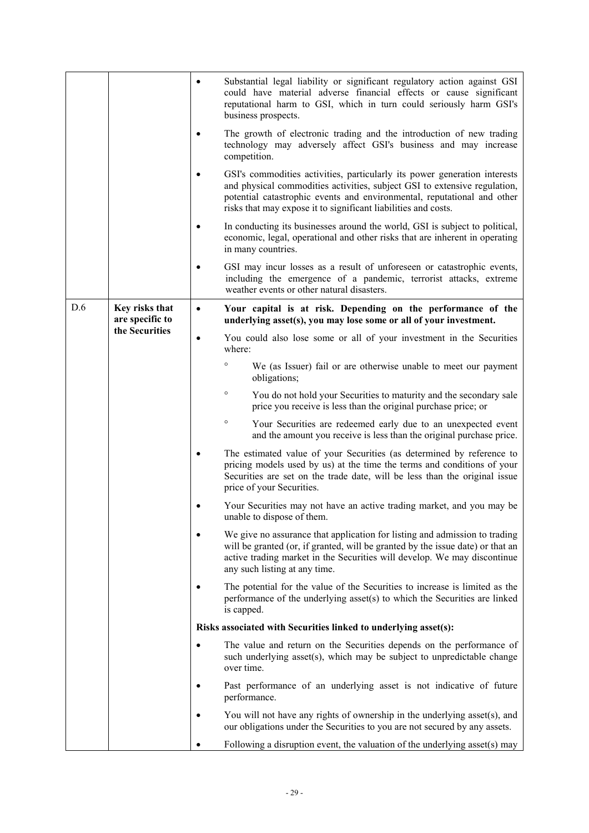|     |                                   | ٠         | Substantial legal liability or significant regulatory action against GSI<br>could have material adverse financial effects or cause significant<br>reputational harm to GSI, which in turn could seriously harm GSI's<br>business prospects.                                                         |
|-----|-----------------------------------|-----------|-----------------------------------------------------------------------------------------------------------------------------------------------------------------------------------------------------------------------------------------------------------------------------------------------------|
|     |                                   |           | The growth of electronic trading and the introduction of new trading<br>technology may adversely affect GSI's business and may increase<br>competition.                                                                                                                                             |
|     |                                   |           | GSI's commodities activities, particularly its power generation interests<br>and physical commodities activities, subject GSI to extensive regulation,<br>potential catastrophic events and environmental, reputational and other<br>risks that may expose it to significant liabilities and costs. |
|     |                                   | ٠         | In conducting its businesses around the world, GSI is subject to political,<br>economic, legal, operational and other risks that are inherent in operating<br>in many countries.                                                                                                                    |
|     |                                   |           | GSI may incur losses as a result of unforeseen or catastrophic events,<br>including the emergence of a pandemic, terrorist attacks, extreme<br>weather events or other natural disasters.                                                                                                           |
| D.6 | Key risks that<br>are specific to | $\bullet$ | Your capital is at risk. Depending on the performance of the<br>underlying asset(s), you may lose some or all of your investment.                                                                                                                                                                   |
|     | the Securities                    | $\bullet$ | You could also lose some or all of your investment in the Securities<br>where:                                                                                                                                                                                                                      |
|     |                                   |           | $\circ$<br>We (as Issuer) fail or are otherwise unable to meet our payment<br>obligations;                                                                                                                                                                                                          |
|     |                                   |           | $\circ$<br>You do not hold your Securities to maturity and the secondary sale<br>price you receive is less than the original purchase price; or                                                                                                                                                     |
|     |                                   |           | $\circ$<br>Your Securities are redeemed early due to an unexpected event<br>and the amount you receive is less than the original purchase price.                                                                                                                                                    |
|     |                                   |           | The estimated value of your Securities (as determined by reference to<br>pricing models used by us) at the time the terms and conditions of your<br>Securities are set on the trade date, will be less than the original issue<br>price of your Securities.                                         |
|     |                                   |           | Your Securities may not have an active trading market, and you may be<br>unable to dispose of them.                                                                                                                                                                                                 |
|     |                                   | $\bullet$ | We give no assurance that application for listing and admission to trading<br>will be granted (or, if granted, will be granted by the issue date) or that an<br>active trading market in the Securities will develop. We may discontinue<br>any such listing at any time.                           |
|     |                                   |           | The potential for the value of the Securities to increase is limited as the<br>performance of the underlying asset(s) to which the Securities are linked<br>is capped.                                                                                                                              |
|     |                                   |           | Risks associated with Securities linked to underlying asset(s):                                                                                                                                                                                                                                     |
|     |                                   | $\bullet$ | The value and return on the Securities depends on the performance of<br>such underlying asset(s), which may be subject to unpredictable change<br>over time.                                                                                                                                        |
|     |                                   |           | Past performance of an underlying asset is not indicative of future<br>performance.                                                                                                                                                                                                                 |
|     |                                   |           | You will not have any rights of ownership in the underlying asset(s), and<br>our obligations under the Securities to you are not secured by any assets.                                                                                                                                             |
|     |                                   |           | Following a disruption event, the valuation of the underlying asset(s) may                                                                                                                                                                                                                          |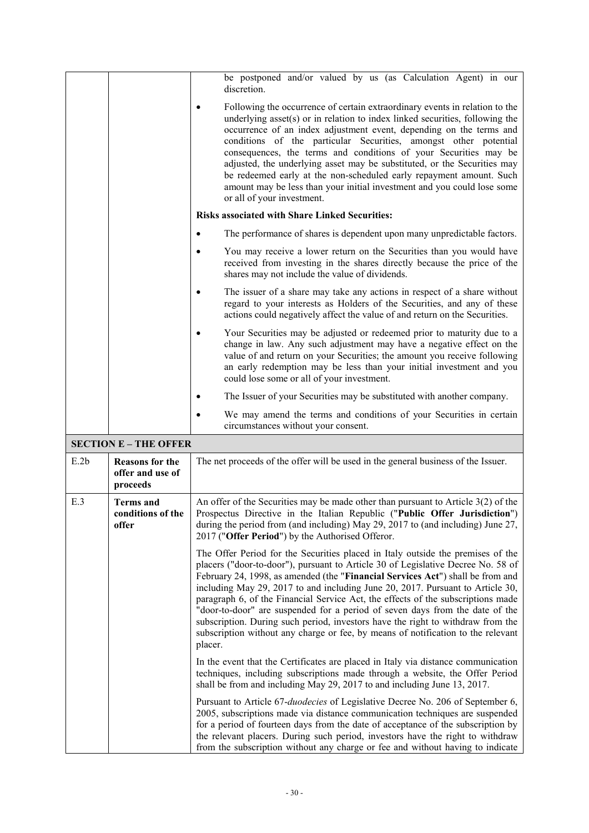|      |                                                        | be postponed and/or valued by us (as Calculation Agent) in our<br>discretion.                                                                                                                                                                                                                                                                                                                                                                                                                                                                                                                                                                                                                 |
|------|--------------------------------------------------------|-----------------------------------------------------------------------------------------------------------------------------------------------------------------------------------------------------------------------------------------------------------------------------------------------------------------------------------------------------------------------------------------------------------------------------------------------------------------------------------------------------------------------------------------------------------------------------------------------------------------------------------------------------------------------------------------------|
|      |                                                        | Following the occurrence of certain extraordinary events in relation to the<br>underlying asset(s) or in relation to index linked securities, following the<br>occurrence of an index adjustment event, depending on the terms and<br>conditions of the particular Securities, amongst other potential<br>consequences, the terms and conditions of your Securities may be<br>adjusted, the underlying asset may be substituted, or the Securities may<br>be redeemed early at the non-scheduled early repayment amount. Such<br>amount may be less than your initial investment and you could lose some<br>or all of your investment.                                                        |
|      |                                                        | <b>Risks associated with Share Linked Securities:</b>                                                                                                                                                                                                                                                                                                                                                                                                                                                                                                                                                                                                                                         |
|      |                                                        | The performance of shares is dependent upon many unpredictable factors.<br>$\bullet$                                                                                                                                                                                                                                                                                                                                                                                                                                                                                                                                                                                                          |
|      |                                                        | You may receive a lower return on the Securities than you would have<br>$\bullet$<br>received from investing in the shares directly because the price of the<br>shares may not include the value of dividends.                                                                                                                                                                                                                                                                                                                                                                                                                                                                                |
|      |                                                        | The issuer of a share may take any actions in respect of a share without<br>regard to your interests as Holders of the Securities, and any of these<br>actions could negatively affect the value of and return on the Securities.                                                                                                                                                                                                                                                                                                                                                                                                                                                             |
|      |                                                        | Your Securities may be adjusted or redeemed prior to maturity due to a<br>change in law. Any such adjustment may have a negative effect on the<br>value of and return on your Securities; the amount you receive following<br>an early redemption may be less than your initial investment and you<br>could lose some or all of your investment.                                                                                                                                                                                                                                                                                                                                              |
|      |                                                        | The Issuer of your Securities may be substituted with another company.                                                                                                                                                                                                                                                                                                                                                                                                                                                                                                                                                                                                                        |
|      |                                                        | We may amend the terms and conditions of your Securities in certain<br>circumstances without your consent.                                                                                                                                                                                                                                                                                                                                                                                                                                                                                                                                                                                    |
|      | <b>SECTION E - THE OFFER</b>                           |                                                                                                                                                                                                                                                                                                                                                                                                                                                                                                                                                                                                                                                                                               |
| E.2b | <b>Reasons for the</b><br>offer and use of<br>proceeds | The net proceeds of the offer will be used in the general business of the Issuer.                                                                                                                                                                                                                                                                                                                                                                                                                                                                                                                                                                                                             |
| E.3  | <b>Terms</b> and<br>conditions of the<br>offer         | An offer of the Securities may be made other than pursuant to Article $3(2)$ of the<br>Prospectus Directive in the Italian Republic ("Public Offer Jurisdiction")<br>during the period from (and including) May 29, 2017 to (and including) June 27,<br>2017 ("Offer Period") by the Authorised Offeror.                                                                                                                                                                                                                                                                                                                                                                                      |
|      |                                                        | The Offer Period for the Securities placed in Italy outside the premises of the<br>placers ("door-to-door"), pursuant to Article 30 of Legislative Decree No. 58 of<br>February 24, 1998, as amended (the "Financial Services Act") shall be from and<br>including May 29, 2017 to and including June 20, 2017. Pursuant to Article 30,<br>paragraph 6, of the Financial Service Act, the effects of the subscriptions made<br>"door-to-door" are suspended for a period of seven days from the date of the<br>subscription. During such period, investors have the right to withdraw from the<br>subscription without any charge or fee, by means of notification to the relevant<br>placer. |
|      |                                                        | In the event that the Certificates are placed in Italy via distance communication<br>techniques, including subscriptions made through a website, the Offer Period<br>shall be from and including May 29, 2017 to and including June 13, 2017.                                                                                                                                                                                                                                                                                                                                                                                                                                                 |
|      |                                                        | Pursuant to Article 67- <i>duodecies</i> of Legislative Decree No. 206 of September 6,<br>2005, subscriptions made via distance communication techniques are suspended<br>for a period of fourteen days from the date of acceptance of the subscription by<br>the relevant placers. During such period, investors have the right to withdraw<br>from the subscription without any charge or fee and without having to indicate                                                                                                                                                                                                                                                                |